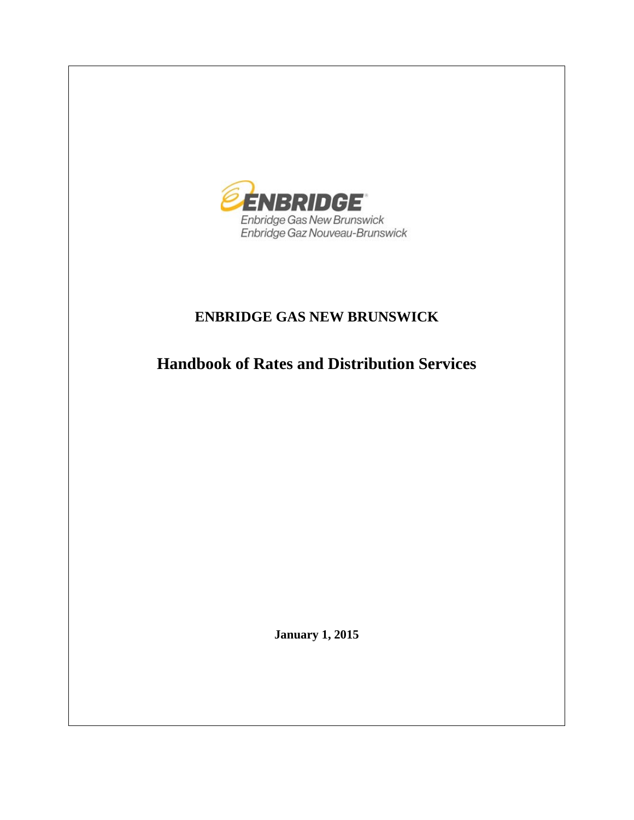

# **ENBRIDGE GAS NEW BRUNSWICK**

**Handbook of Rates and Distribution Services**

**January 1, 2015**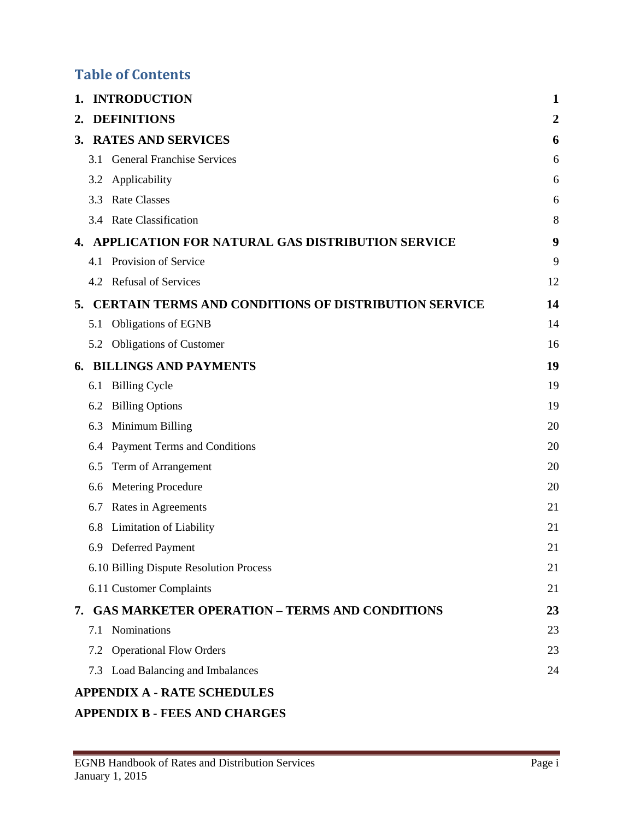# **Table of Contents**

| 1. |     | <b>INTRODUCTION</b>                                         | 1  |
|----|-----|-------------------------------------------------------------|----|
| 2. |     | <b>DEFINITIONS</b>                                          | 2  |
|    |     | 3. RATES AND SERVICES                                       | 6  |
|    | 3.1 | <b>General Franchise Services</b>                           | 6  |
|    | 3.2 | Applicability                                               | 6  |
|    | 3.3 | <b>Rate Classes</b>                                         | 6  |
|    |     | 3.4 Rate Classification                                     | 8  |
| 4. |     | APPLICATION FOR NATURAL GAS DISTRIBUTION SERVICE            | 9  |
|    |     | 4.1 Provision of Service                                    | 9  |
|    |     | 4.2 Refusal of Services                                     | 12 |
| 5. |     | <b>CERTAIN TERMS AND CONDITIONS OF DISTRIBUTION SERVICE</b> | 14 |
|    | 5.1 | <b>Obligations of EGNB</b>                                  | 14 |
|    |     | 5.2 Obligations of Customer                                 | 16 |
| 6. |     | <b>BILLINGS AND PAYMENTS</b>                                | 19 |
|    | 6.1 | <b>Billing Cycle</b>                                        | 19 |
|    | 6.2 | <b>Billing Options</b>                                      | 19 |
|    | 6.3 | Minimum Billing                                             | 20 |
|    | 6.4 | Payment Terms and Conditions                                | 20 |
|    | 6.5 | Term of Arrangement                                         | 20 |
|    | 6.6 | Metering Procedure                                          | 20 |
|    | 6.7 | Rates in Agreements                                         | 21 |
|    | 6.8 | Limitation of Liability                                     | 21 |
|    | 6.9 | Deferred Payment                                            | 21 |
|    |     | 6.10 Billing Dispute Resolution Process                     | 21 |
|    |     | 6.11 Customer Complaints                                    | 21 |
|    |     | 7. GAS MARKETER OPERATION - TERMS AND CONDITIONS            | 23 |
|    |     | 7.1 Nominations                                             | 23 |
|    |     | 7.2 Operational Flow Orders                                 | 23 |
|    |     | 7.3 Load Balancing and Imbalances                           | 24 |
|    |     | <b>APPENDIX A - RATE SCHEDULES</b>                          |    |

### **APPENDIX B - [FEES AND CHARGES](#page-38-0)**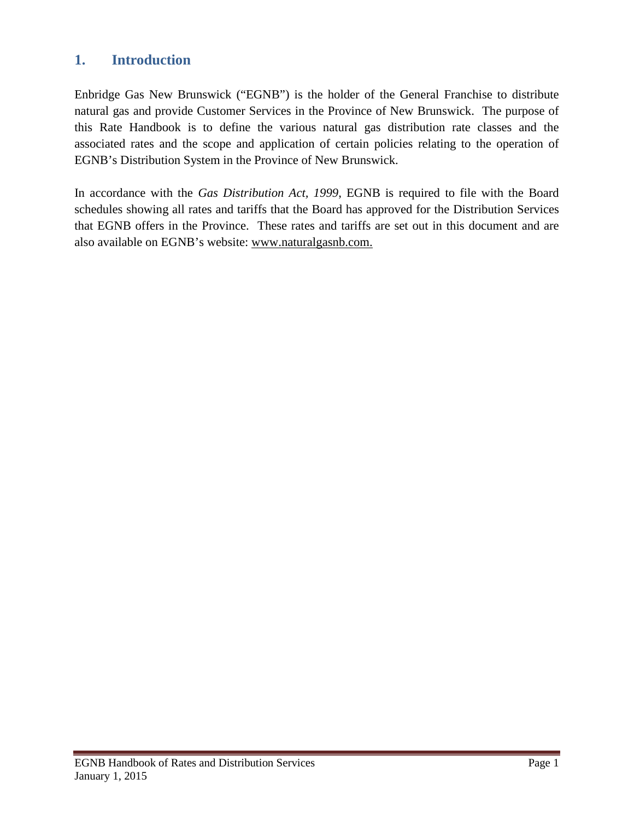# <span id="page-2-0"></span>**1. Introduction**

Enbridge Gas New Brunswick ("EGNB") is the holder of the General Franchise to distribute natural gas and provide Customer Services in the Province of New Brunswick. The purpose of this Rate Handbook is to define the various natural gas distribution rate classes and the associated rates and the scope and application of certain policies relating to the operation of EGNB's Distribution System in the Province of New Brunswick.

In accordance with the *Gas Distribution Act, 1999*, EGNB is required to file with the Board schedules showing all rates and tariffs that the Board has approved for the Distribution Services that EGNB offers in the Province. These rates and tariffs are set out in this document and are also available on EGNB's website: www.naturalgasnb.com.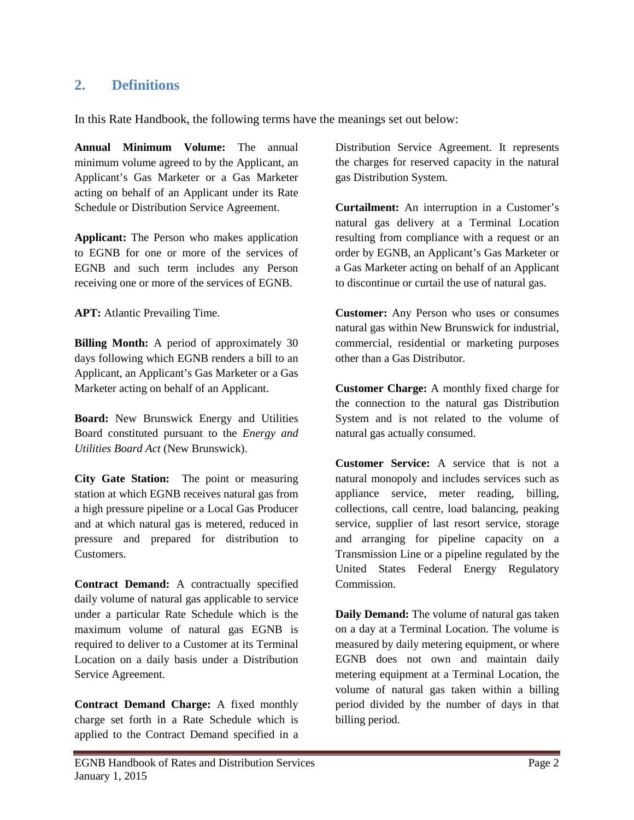# <span id="page-3-0"></span>**2. Definitions**

In this Rate Handbook, the following terms have the meanings set out below:

**Annual Minimum Volume:** The annual minimum volume agreed to by the Applicant, an Applicant's Gas Marketer or a Gas Marketer acting on behalf of an Applicant under its Rate Schedule or Distribution Service Agreement.

**Applicant:** The Person who makes application to EGNB for one or more of the services of EGNB and such term includes any Person receiving one or more of the services of EGNB.

**APT:** Atlantic Prevailing Time.

**Billing Month:** A period of approximately 30 days following which EGNB renders a bill to an Applicant, an Applicant's Gas Marketer or a Gas Marketer acting on behalf of an Applicant.

**Board:** New Brunswick Energy and Utilities Board constituted pursuant to the *Energy and Utilities Board Act* (New Brunswick).

**City Gate Station:** The point or measuring station at which EGNB receives natural gas from a high pressure pipeline or a Local Gas Producer and at which natural gas is metered, reduced in pressure and prepared for distribution to Customers.

**Contract Demand:** A contractually specified daily volume of natural gas applicable to service under a particular Rate Schedule which is the maximum volume of natural gas EGNB is required to deliver to a Customer at its Terminal Location on a daily basis under a Distribution Service Agreement.

**Contract Demand Charge:** A fixed monthly charge set forth in a Rate Schedule which is applied to the Contract Demand specified in a Distribution Service Agreement. It represents the charges for reserved capacity in the natural gas Distribution System.

**Curtailment:** An interruption in a Customer's natural gas delivery at a Terminal Location resulting from compliance with a request or an order by EGNB, an Applicant's Gas Marketer or a Gas Marketer acting on behalf of an Applicant to discontinue or curtail the use of natural gas.

**Customer:** Any Person who uses or consumes natural gas within New Brunswick for industrial, commercial, residential or marketing purposes other than a Gas Distributor.

**Customer Charge:** A monthly fixed charge for the connection to the natural gas Distribution System and is not related to the volume of natural gas actually consumed.

**Customer Service:** A service that is not a natural monopoly and includes services such as appliance service, meter reading, billing, collections, call centre, load balancing, peaking service, supplier of last resort service, storage and arranging for pipeline capacity on a Transmission Line or a pipeline regulated by the United States Federal Energy Regulatory Commission.

**Daily Demand:** The volume of natural gas taken on a day at a Terminal Location. The volume is measured by daily metering equipment, or where EGNB does not own and maintain daily metering equipment at a Terminal Location, the volume of natural gas taken within a billing period divided by the number of days in that billing period.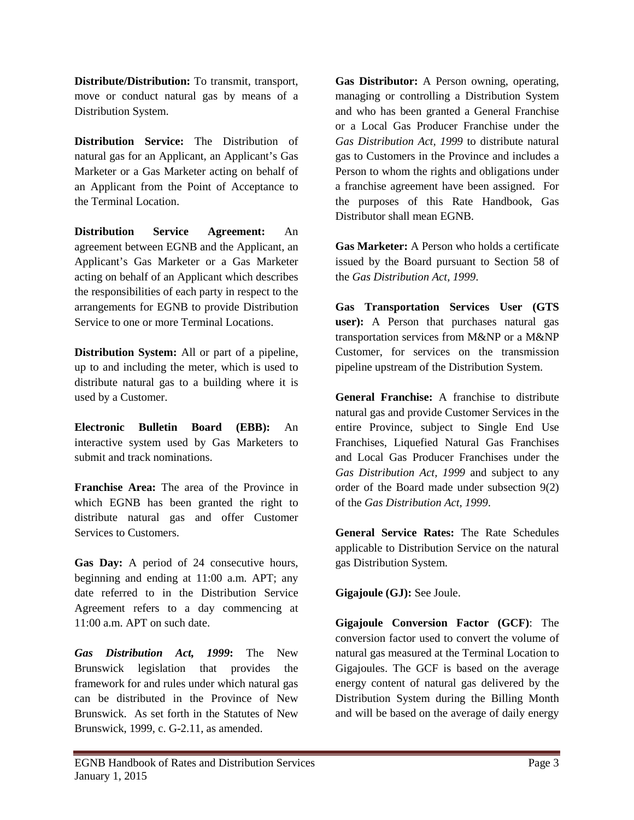**Distribute/Distribution:** To transmit, transport, move or conduct natural gas by means of a Distribution System.

**Distribution Service:** The Distribution of natural gas for an Applicant, an Applicant's Gas Marketer or a Gas Marketer acting on behalf of an Applicant from the Point of Acceptance to the Terminal Location.

**Distribution Service Agreement:** An agreement between EGNB and the Applicant, an Applicant's Gas Marketer or a Gas Marketer acting on behalf of an Applicant which describes the responsibilities of each party in respect to the arrangements for EGNB to provide Distribution Service to one or more Terminal Locations.

**Distribution System:** All or part of a pipeline, up to and including the meter, which is used to distribute natural gas to a building where it is used by a Customer.

**Electronic Bulletin Board (EBB):** An interactive system used by Gas Marketers to submit and track nominations.

**Franchise Area:** The area of the Province in which EGNB has been granted the right to distribute natural gas and offer Customer Services to Customers.

**Gas Day:** A period of 24 consecutive hours, beginning and ending at 11:00 a.m. APT; any date referred to in the Distribution Service Agreement refers to a day commencing at 11:00 a.m. APT on such date.

*Gas Distribution Act, 1999***:** The New Brunswick legislation that provides the framework for and rules under which natural gas can be distributed in the Province of New Brunswick. As set forth in the Statutes of New Brunswick, 1999, c. G-2.11, as amended.

**Gas Distributor:** A Person owning, operating, managing or controlling a Distribution System and who has been granted a General Franchise or a Local Gas Producer Franchise under the *Gas Distribution Act, 1999* to distribute natural gas to Customers in the Province and includes a Person to whom the rights and obligations under a franchise agreement have been assigned. For the purposes of this Rate Handbook, Gas Distributor shall mean EGNB.

**Gas Marketer:** A Person who holds a certificate issued by the Board pursuant to Section 58 of the *Gas Distribution Act, 1999*.

**Gas Transportation Services User (GTS user):** A Person that purchases natural gas transportation services from M&NP or a M&NP Customer, for services on the transmission pipeline upstream of the Distribution System.

**General Franchise:** A franchise to distribute natural gas and provide Customer Services in the entire Province, subject to Single End Use Franchises, Liquefied Natural Gas Franchises and Local Gas Producer Franchises under the *Gas Distribution Act, 1999* and subject to any order of the Board made under subsection 9(2) of the *Gas Distribution Act, 1999*.

**General Service Rates:** The Rate Schedules applicable to Distribution Service on the natural gas Distribution System.

**Gigajoule (GJ):** See Joule.

**Gigajoule Conversion Factor (GCF)**: The conversion factor used to convert the volume of natural gas measured at the Terminal Location to Gigajoules. The GCF is based on the average energy content of natural gas delivered by the Distribution System during the Billing Month and will be based on the average of daily energy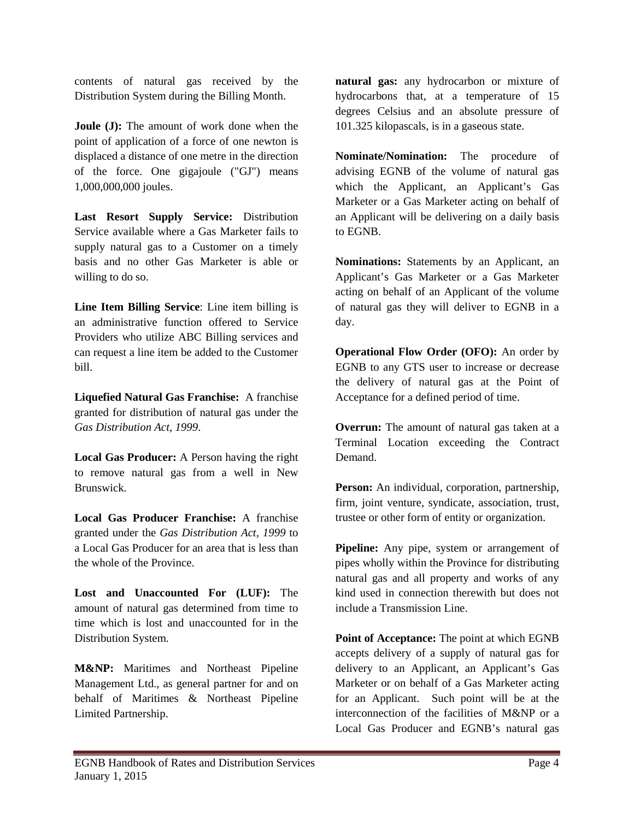contents of natural gas received by the Distribution System during the Billing Month.

**Joule (J):** The amount of work done when the point of application of a force of one newton is displaced a distance of one metre in the direction of the force. One gigajoule ("GJ") means 1,000,000,000 joules.

**Last Resort Supply Service:** Distribution Service available where a Gas Marketer fails to supply natural gas to a Customer on a timely basis and no other Gas Marketer is able or willing to do so.

**Line Item Billing Service**: Line item billing is an administrative function offered to Service Providers who utilize ABC Billing services and can request a line item be added to the Customer bill.

**Liquefied Natural Gas Franchise:** A franchise granted for distribution of natural gas under the *Gas Distribution Act, 1999*.

**Local Gas Producer:** A Person having the right to remove natural gas from a well in New Brunswick.

**Local Gas Producer Franchise:** A franchise granted under the *Gas Distribution Act, 1999* to a Local Gas Producer for an area that is less than the whole of the Province.

**Lost and Unaccounted For (LUF):** The amount of natural gas determined from time to time which is lost and unaccounted for in the Distribution System.

**M&NP:** Maritimes and Northeast Pipeline Management Ltd., as general partner for and on behalf of Maritimes & Northeast Pipeline Limited Partnership.

**natural gas:** any hydrocarbon or mixture of hydrocarbons that, at a temperature of 15 degrees Celsius and an absolute pressure of 101.325 kilopascals, is in a gaseous state.

**Nominate/Nomination:** The procedure of advising EGNB of the volume of natural gas which the Applicant, an Applicant's Gas Marketer or a Gas Marketer acting on behalf of an Applicant will be delivering on a daily basis to EGNB.

**Nominations:** Statements by an Applicant, an Applicant's Gas Marketer or a Gas Marketer acting on behalf of an Applicant of the volume of natural gas they will deliver to EGNB in a day.

**Operational Flow Order (OFO):** An order by EGNB to any GTS user to increase or decrease the delivery of natural gas at the Point of Acceptance for a defined period of time.

**Overrun:** The amount of natural gas taken at a Terminal Location exceeding the Contract Demand.

**Person:** An individual, corporation, partnership, firm, joint venture, syndicate, association, trust, trustee or other form of entity or organization.

**Pipeline:** Any pipe, system or arrangement of pipes wholly within the Province for distributing natural gas and all property and works of any kind used in connection therewith but does not include a Transmission Line.

**Point of Acceptance:** The point at which EGNB accepts delivery of a supply of natural gas for delivery to an Applicant, an Applicant's Gas Marketer or on behalf of a Gas Marketer acting for an Applicant. Such point will be at the interconnection of the facilities of M&NP or a Local Gas Producer and EGNB's natural gas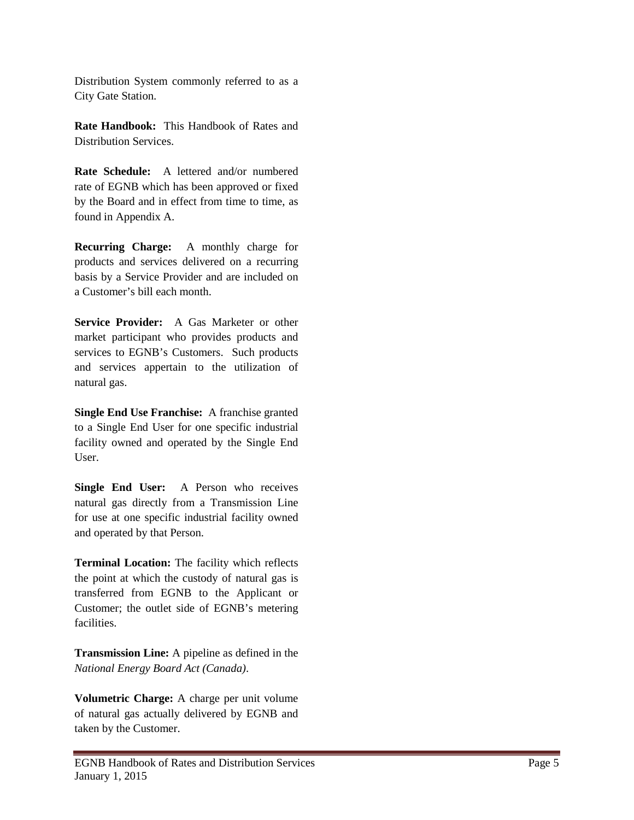Distribution System commonly referred to as a City Gate Station.

**Rate Handbook:** This Handbook of Rates and Distribution Services.

**Rate Schedule:** A lettered and/or numbered rate of EGNB which has been approved or fixed by the Board and in effect from time to time, as found in Appendix A.

**Recurring Charge:** A monthly charge for products and services delivered on a recurring basis by a Service Provider and are included on a Customer's bill each month.

**Service Provider:** A Gas Marketer or other market participant who provides products and services to EGNB's Customers. Such products and services appertain to the utilization of natural gas.

**Single End Use Franchise:** A franchise granted to a Single End User for one specific industrial facility owned and operated by the Single End User.

**Single End User:** A Person who receives natural gas directly from a Transmission Line for use at one specific industrial facility owned and operated by that Person.

**Terminal Location:** The facility which reflects the point at which the custody of natural gas is transferred from EGNB to the Applicant or Customer; the outlet side of EGNB's metering facilities.

**Transmission Line:** A pipeline as defined in the *National Energy Board Act (Canada)*.

**Volumetric Charge:** A charge per unit volume of natural gas actually delivered by EGNB and taken by the Customer.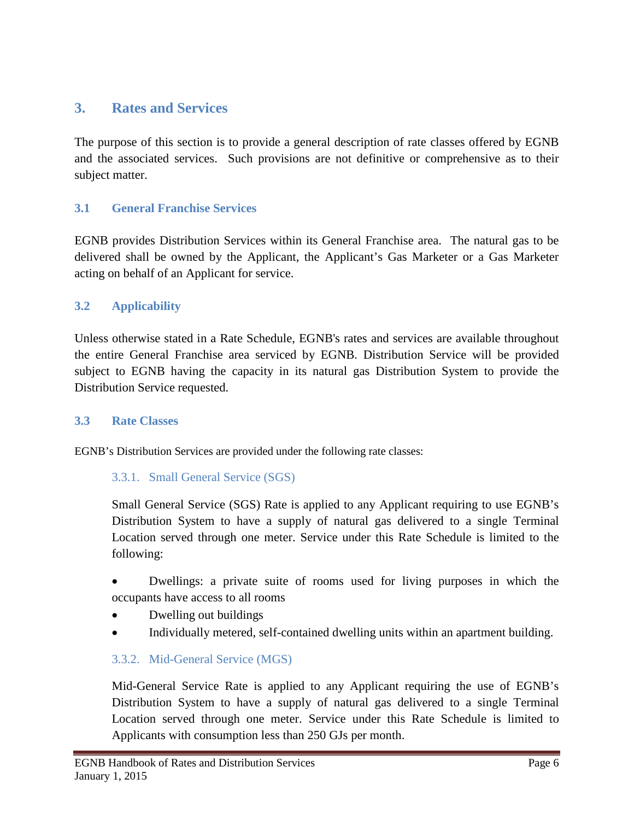# <span id="page-7-0"></span>**3. Rates and Services**

The purpose of this section is to provide a general description of rate classes offered by EGNB and the associated services. Such provisions are not definitive or comprehensive as to their subject matter.

### <span id="page-7-1"></span>**3.1 General Franchise Services**

EGNB provides Distribution Services within its General Franchise area. The natural gas to be delivered shall be owned by the Applicant, the Applicant's Gas Marketer or a Gas Marketer acting on behalf of an Applicant for service.

### <span id="page-7-2"></span>**3.2 Applicability**

Unless otherwise stated in a Rate Schedule, EGNB's rates and services are available throughout the entire General Franchise area serviced by EGNB. Distribution Service will be provided subject to EGNB having the capacity in its natural gas Distribution System to provide the Distribution Service requested.

### <span id="page-7-3"></span>**3.3 Rate Classes**

EGNB's Distribution Services are provided under the following rate classes:

### 3.3.1. Small General Service (SGS)

Small General Service (SGS) Rate is applied to any Applicant requiring to use EGNB's Distribution System to have a supply of natural gas delivered to a single Terminal Location served through one meter. Service under this Rate Schedule is limited to the following:

• Dwellings: a private suite of rooms used for living purposes in which the occupants have access to all rooms

- Dwelling out buildings
- Individually metered, self-contained dwelling units within an apartment building.

### 3.3.2. Mid-General Service (MGS)

Mid-General Service Rate is applied to any Applicant requiring the use of EGNB's Distribution System to have a supply of natural gas delivered to a single Terminal Location served through one meter. Service under this Rate Schedule is limited to Applicants with consumption less than 250 GJs per month.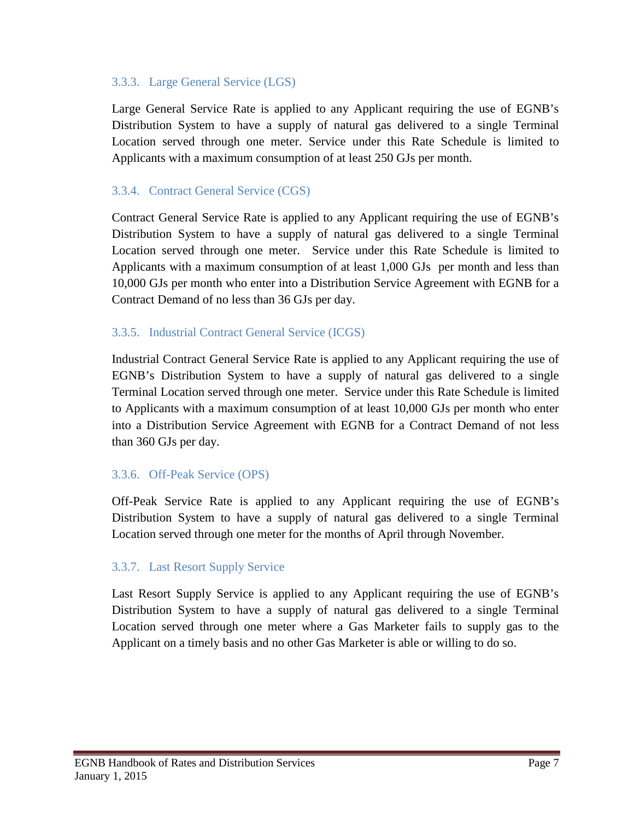### 3.3.3. Large General Service (LGS)

Large General Service Rate is applied to any Applicant requiring the use of EGNB's Distribution System to have a supply of natural gas delivered to a single Terminal Location served through one meter. Service under this Rate Schedule is limited to Applicants with a maximum consumption of at least 250 GJs per month.

### 3.3.4. Contract General Service (CGS)

Contract General Service Rate is applied to any Applicant requiring the use of EGNB's Distribution System to have a supply of natural gas delivered to a single Terminal Location served through one meter. Service under this Rate Schedule is limited to Applicants with a maximum consumption of at least 1,000 GJs per month and less than 10,000 GJs per month who enter into a Distribution Service Agreement with EGNB for a Contract Demand of no less than 36 GJs per day.

### 3.3.5. Industrial Contract General Service (ICGS)

Industrial Contract General Service Rate is applied to any Applicant requiring the use of EGNB's Distribution System to have a supply of natural gas delivered to a single Terminal Location served through one meter. Service under this Rate Schedule is limited to Applicants with a maximum consumption of at least 10,000 GJs per month who enter into a Distribution Service Agreement with EGNB for a Contract Demand of not less than 360 GJs per day.

### 3.3.6. Off-Peak Service (OPS)

Off-Peak Service Rate is applied to any Applicant requiring the use of EGNB's Distribution System to have a supply of natural gas delivered to a single Terminal Location served through one meter for the months of April through November.

### 3.3.7. Last Resort Supply Service

Last Resort Supply Service is applied to any Applicant requiring the use of EGNB's Distribution System to have a supply of natural gas delivered to a single Terminal Location served through one meter where a Gas Marketer fails to supply gas to the Applicant on a timely basis and no other Gas Marketer is able or willing to do so.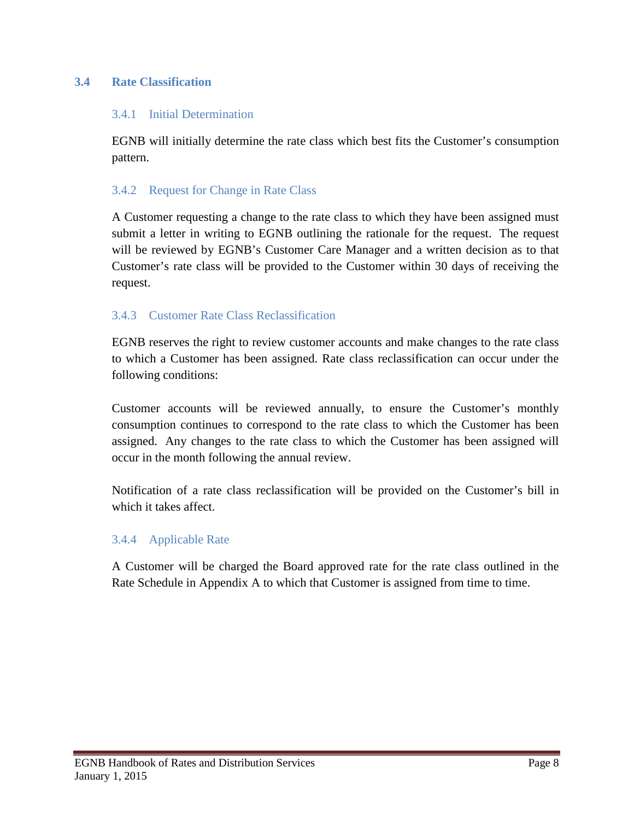### <span id="page-9-0"></span>**3.4 Rate Classification**

#### 3.4.1 Initial Determination

EGNB will initially determine the rate class which best fits the Customer's consumption pattern.

#### 3.4.2 Request for Change in Rate Class

A Customer requesting a change to the rate class to which they have been assigned must submit a letter in writing to EGNB outlining the rationale for the request. The request will be reviewed by EGNB's Customer Care Manager and a written decision as to that Customer's rate class will be provided to the Customer within 30 days of receiving the request.

### 3.4.3 Customer Rate Class Reclassification

EGNB reserves the right to review customer accounts and make changes to the rate class to which a Customer has been assigned. Rate class reclassification can occur under the following conditions:

Customer accounts will be reviewed annually, to ensure the Customer's monthly consumption continues to correspond to the rate class to which the Customer has been assigned. Any changes to the rate class to which the Customer has been assigned will occur in the month following the annual review.

Notification of a rate class reclassification will be provided on the Customer's bill in which it takes affect.

### 3.4.4 Applicable Rate

A Customer will be charged the Board approved rate for the rate class outlined in the Rate Schedule in Appendix A to which that Customer is assigned from time to time.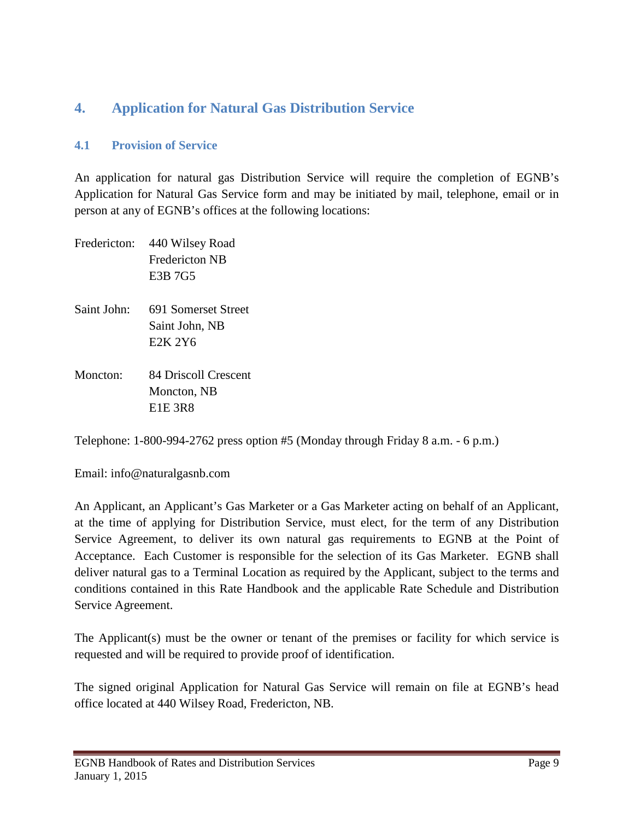# <span id="page-10-0"></span>**4. Application for Natural Gas Distribution Service**

### <span id="page-10-1"></span>**4.1 Provision of Service**

An application for natural gas Distribution Service will require the completion of EGNB's Application for Natural Gas Service form and may be initiated by mail, telephone, email or in person at any of EGNB's offices at the following locations:

| Fredericton: | 440 Wilsey Road<br><b>Fredericton NB</b><br>E3B 7G5                       |
|--------------|---------------------------------------------------------------------------|
| Saint John:  | 691 Somerset Street<br>Saint John, NB<br>E <sub>2</sub> K 2Y <sub>6</sub> |
| Moncton:     | 84 Driscoll Crescent<br>Moncton, NB<br><b>E1E 3R8</b>                     |

Telephone: 1-800-994-2762 press option #5 (Monday through Friday 8 a.m. - 6 p.m.)

Email: info@naturalgasnb.com

An Applicant, an Applicant's Gas Marketer or a Gas Marketer acting on behalf of an Applicant, at the time of applying for Distribution Service, must elect, for the term of any Distribution Service Agreement, to deliver its own natural gas requirements to EGNB at the Point of Acceptance. Each Customer is responsible for the selection of its Gas Marketer. EGNB shall deliver natural gas to a Terminal Location as required by the Applicant, subject to the terms and conditions contained in this Rate Handbook and the applicable Rate Schedule and Distribution Service Agreement.

The Applicant(s) must be the owner or tenant of the premises or facility for which service is requested and will be required to provide proof of identification.

The signed original Application for Natural Gas Service will remain on file at EGNB's head office located at 440 Wilsey Road, Fredericton, NB.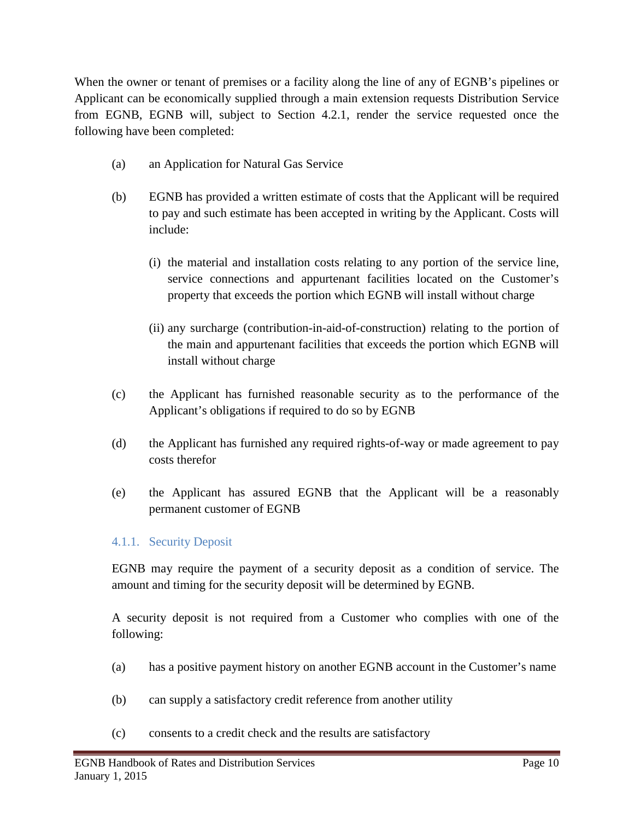When the owner or tenant of premises or a facility along the line of any of EGNB's pipelines or Applicant can be economically supplied through a main extension requests Distribution Service from EGNB, EGNB will, subject to Section 4.2.1, render the service requested once the following have been completed:

- (a) an Application for Natural Gas Service
- (b) EGNB has provided a written estimate of costs that the Applicant will be required to pay and such estimate has been accepted in writing by the Applicant. Costs will include:
	- (i) the material and installation costs relating to any portion of the service line, service connections and appurtenant facilities located on the Customer's property that exceeds the portion which EGNB will install without charge
	- (ii) any surcharge (contribution-in-aid-of-construction) relating to the portion of the main and appurtenant facilities that exceeds the portion which EGNB will install without charge
- (c) the Applicant has furnished reasonable security as to the performance of the Applicant's obligations if required to do so by EGNB
- (d) the Applicant has furnished any required rights-of-way or made agreement to pay costs therefor
- (e) the Applicant has assured EGNB that the Applicant will be a reasonably permanent customer of EGNB

### 4.1.1. Security Deposit

EGNB may require the payment of a security deposit as a condition of service. The amount and timing for the security deposit will be determined by EGNB.

A security deposit is not required from a Customer who complies with one of the following:

- (a) has a positive payment history on another EGNB account in the Customer's name
- (b) can supply a satisfactory credit reference from another utility
- (c) consents to a credit check and the results are satisfactory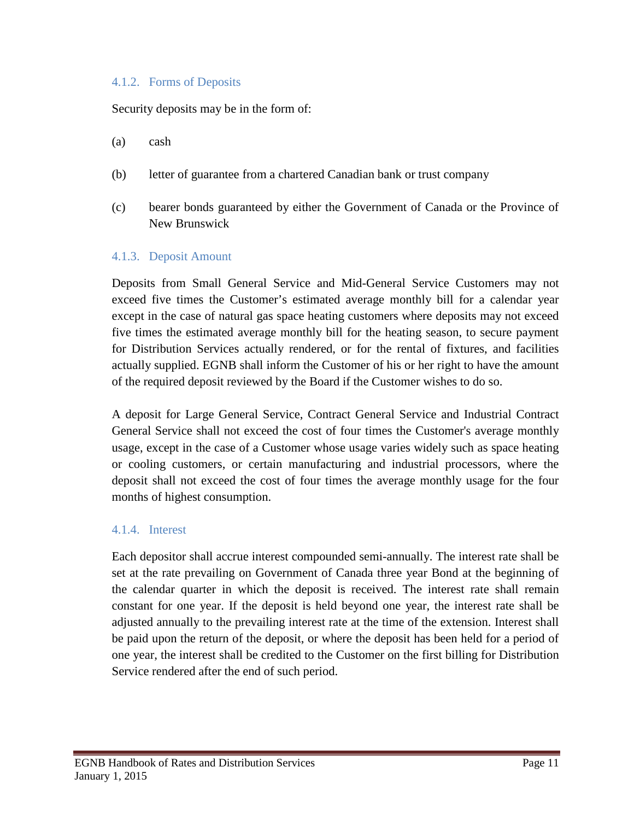#### 4.1.2. Forms of Deposits

Security deposits may be in the form of:

- (a) cash
- (b) letter of guarantee from a chartered Canadian bank or trust company
- (c) bearer bonds guaranteed by either the Government of Canada or the Province of New Brunswick

#### 4.1.3. Deposit Amount

Deposits from Small General Service and Mid-General Service Customers may not exceed five times the Customer's estimated average monthly bill for a calendar year except in the case of natural gas space heating customers where deposits may not exceed five times the estimated average monthly bill for the heating season, to secure payment for Distribution Services actually rendered, or for the rental of fixtures, and facilities actually supplied. EGNB shall inform the Customer of his or her right to have the amount of the required deposit reviewed by the Board if the Customer wishes to do so.

A deposit for Large General Service, Contract General Service and Industrial Contract General Service shall not exceed the cost of four times the Customer's average monthly usage, except in the case of a Customer whose usage varies widely such as space heating or cooling customers, or certain manufacturing and industrial processors, where the deposit shall not exceed the cost of four times the average monthly usage for the four months of highest consumption.

### 4.1.4. Interest

Each depositor shall accrue interest compounded semi-annually. The interest rate shall be set at the rate prevailing on Government of Canada three year Bond at the beginning of the calendar quarter in which the deposit is received. The interest rate shall remain constant for one year. If the deposit is held beyond one year, the interest rate shall be adjusted annually to the prevailing interest rate at the time of the extension. Interest shall be paid upon the return of the deposit, or where the deposit has been held for a period of one year, the interest shall be credited to the Customer on the first billing for Distribution Service rendered after the end of such period.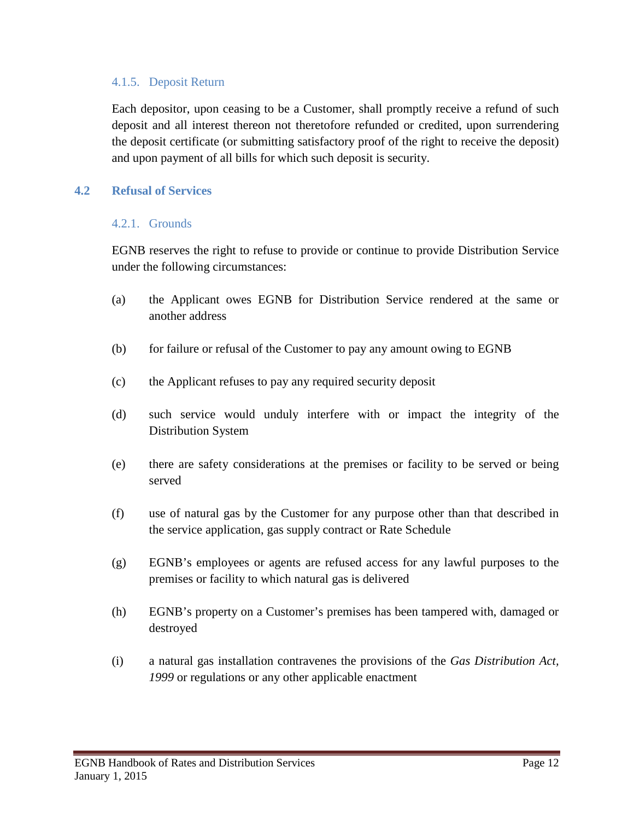### 4.1.5. Deposit Return

Each depositor, upon ceasing to be a Customer, shall promptly receive a refund of such deposit and all interest thereon not theretofore refunded or credited, upon surrendering the deposit certificate (or submitting satisfactory proof of the right to receive the deposit) and upon payment of all bills for which such deposit is security.

#### <span id="page-13-0"></span>**4.2 Refusal of Services**

#### 4.2.1. Grounds

EGNB reserves the right to refuse to provide or continue to provide Distribution Service under the following circumstances:

- (a) the Applicant owes EGNB for Distribution Service rendered at the same or another address
- (b) for failure or refusal of the Customer to pay any amount owing to EGNB
- (c) the Applicant refuses to pay any required security deposit
- (d) such service would unduly interfere with or impact the integrity of the Distribution System
- (e) there are safety considerations at the premises or facility to be served or being served
- (f) use of natural gas by the Customer for any purpose other than that described in the service application, gas supply contract or Rate Schedule
- (g) EGNB's employees or agents are refused access for any lawful purposes to the premises or facility to which natural gas is delivered
- (h) EGNB's property on a Customer's premises has been tampered with, damaged or destroyed
- (i) a natural gas installation contravenes the provisions of the *Gas Distribution Act, 1999* or regulations or any other applicable enactment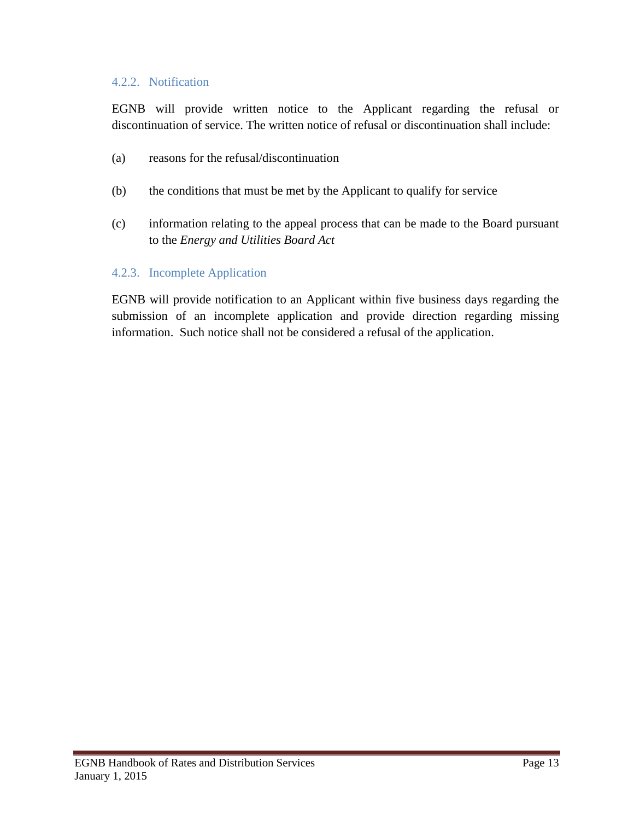### 4.2.2. Notification

EGNB will provide written notice to the Applicant regarding the refusal or discontinuation of service. The written notice of refusal or discontinuation shall include:

- (a) reasons for the refusal/discontinuation
- (b) the conditions that must be met by the Applicant to qualify for service
- (c) information relating to the appeal process that can be made to the Board pursuant to the *Energy and Utilities Board Act*

### 4.2.3. Incomplete Application

EGNB will provide notification to an Applicant within five business days regarding the submission of an incomplete application and provide direction regarding missing information. Such notice shall not be considered a refusal of the application.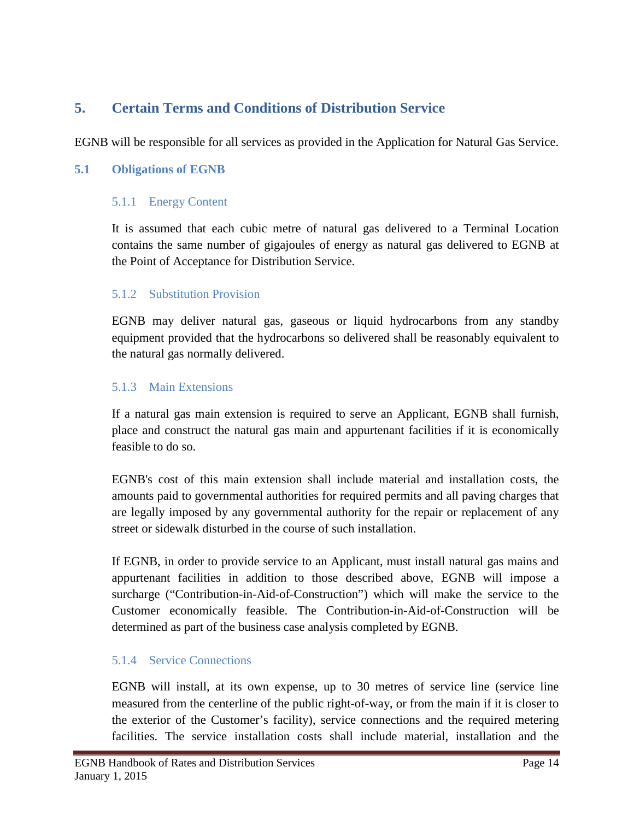# <span id="page-15-0"></span>**5. Certain Terms and Conditions of Distribution Service**

EGNB will be responsible for all services as provided in the Application for Natural Gas Service.

### <span id="page-15-1"></span>**5.1 Obligations of EGNB**

### 5.1.1 Energy Content

It is assumed that each cubic metre of natural gas delivered to a Terminal Location contains the same number of gigajoules of energy as natural gas delivered to EGNB at the Point of Acceptance for Distribution Service.

### 5.1.2 Substitution Provision

EGNB may deliver natural gas, gaseous or liquid hydrocarbons from any standby equipment provided that the hydrocarbons so delivered shall be reasonably equivalent to the natural gas normally delivered.

### 5.1.3 Main Extensions

If a natural gas main extension is required to serve an Applicant, EGNB shall furnish, place and construct the natural gas main and appurtenant facilities if it is economically feasible to do so.

EGNB's cost of this main extension shall include material and installation costs, the amounts paid to governmental authorities for required permits and all paving charges that are legally imposed by any governmental authority for the repair or replacement of any street or sidewalk disturbed in the course of such installation.

If EGNB, in order to provide service to an Applicant, must install natural gas mains and appurtenant facilities in addition to those described above, EGNB will impose a surcharge ("Contribution-in-Aid-of-Construction") which will make the service to the Customer economically feasible. The Contribution-in-Aid-of-Construction will be determined as part of the business case analysis completed by EGNB.

### 5.1.4 Service Connections

EGNB will install, at its own expense, up to 30 metres of service line (service line measured from the centerline of the public right-of-way, or from the main if it is closer to the exterior of the Customer's facility), service connections and the required metering facilities. The service installation costs shall include material, installation and the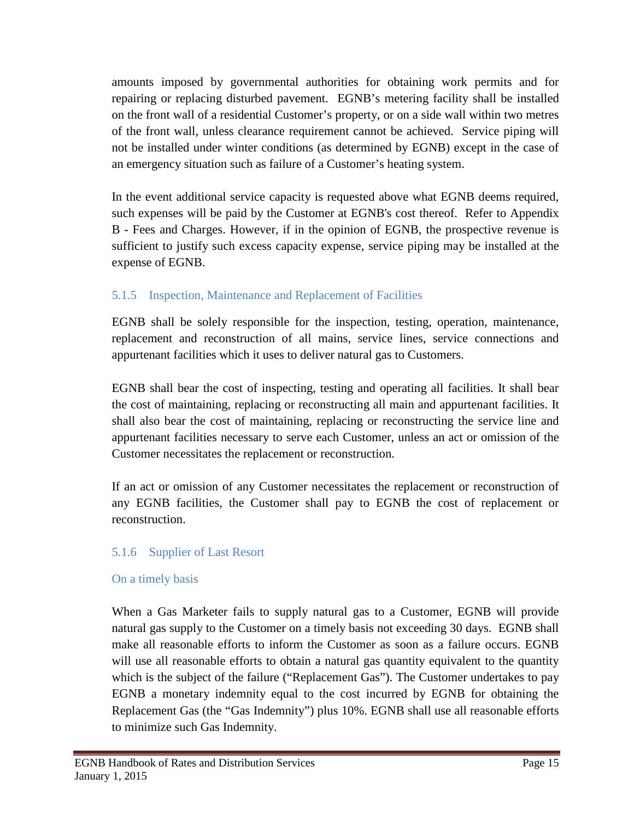amounts imposed by governmental authorities for obtaining work permits and for repairing or replacing disturbed pavement. EGNB's metering facility shall be installed on the front wall of a residential Customer's property, or on a side wall within two metres of the front wall, unless clearance requirement cannot be achieved. Service piping will not be installed under winter conditions (as determined by EGNB) except in the case of an emergency situation such as failure of a Customer's heating system.

In the event additional service capacity is requested above what EGNB deems required, such expenses will be paid by the Customer at EGNB's cost thereof. Refer to Appendix B - Fees and Charges. However, if in the opinion of EGNB, the prospective revenue is sufficient to justify such excess capacity expense, service piping may be installed at the expense of EGNB.

### 5.1.5 Inspection, Maintenance and Replacement of Facilities

EGNB shall be solely responsible for the inspection, testing, operation, maintenance, replacement and reconstruction of all mains, service lines, service connections and appurtenant facilities which it uses to deliver natural gas to Customers.

EGNB shall bear the cost of inspecting, testing and operating all facilities. It shall bear the cost of maintaining, replacing or reconstructing all main and appurtenant facilities. It shall also bear the cost of maintaining, replacing or reconstructing the service line and appurtenant facilities necessary to serve each Customer, unless an act or omission of the Customer necessitates the replacement or reconstruction.

If an act or omission of any Customer necessitates the replacement or reconstruction of any EGNB facilities, the Customer shall pay to EGNB the cost of replacement or reconstruction.

### 5.1.6 Supplier of Last Resort

### On a timely basis

When a Gas Marketer fails to supply natural gas to a Customer, EGNB will provide natural gas supply to the Customer on a timely basis not exceeding 30 days. EGNB shall make all reasonable efforts to inform the Customer as soon as a failure occurs. EGNB will use all reasonable efforts to obtain a natural gas quantity equivalent to the quantity which is the subject of the failure ("Replacement Gas"). The Customer undertakes to pay EGNB a monetary indemnity equal to the cost incurred by EGNB for obtaining the Replacement Gas (the "Gas Indemnity") plus 10%. EGNB shall use all reasonable efforts to minimize such Gas Indemnity.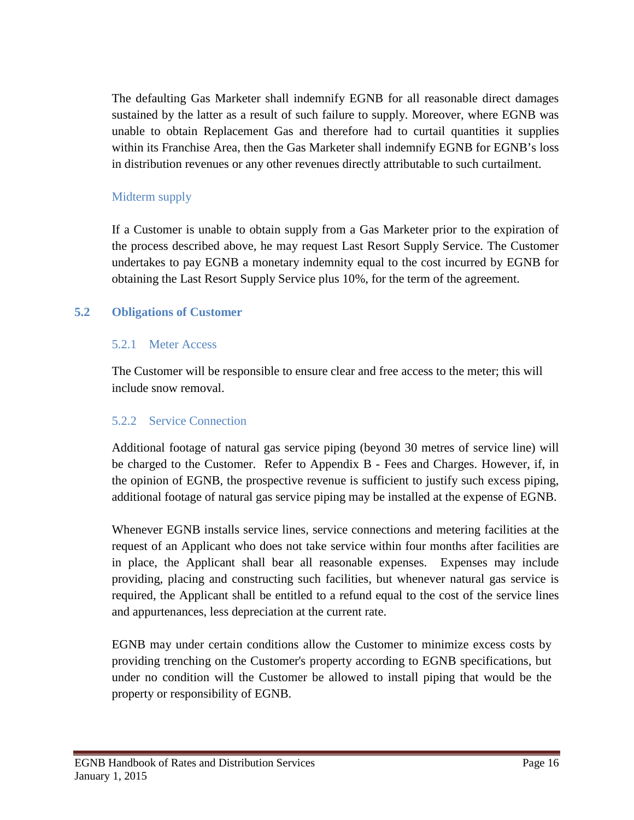The defaulting Gas Marketer shall indemnify EGNB for all reasonable direct damages sustained by the latter as a result of such failure to supply. Moreover, where EGNB was unable to obtain Replacement Gas and therefore had to curtail quantities it supplies within its Franchise Area, then the Gas Marketer shall indemnify EGNB for EGNB's loss in distribution revenues or any other revenues directly attributable to such curtailment.

### Midterm supply

If a Customer is unable to obtain supply from a Gas Marketer prior to the expiration of the process described above, he may request Last Resort Supply Service. The Customer undertakes to pay EGNB a monetary indemnity equal to the cost incurred by EGNB for obtaining the Last Resort Supply Service plus 10%, for the term of the agreement.

### <span id="page-17-0"></span>**5.2 Obligations of Customer**

### 5.2.1 Meter Access

The Customer will be responsible to ensure clear and free access to the meter; this will include snow removal.

### 5.2.2 Service Connection

Additional footage of natural gas service piping (beyond 30 metres of service line) will be charged to the Customer. Refer to Appendix B - Fees and Charges. However, if, in the opinion of EGNB, the prospective revenue is sufficient to justify such excess piping, additional footage of natural gas service piping may be installed at the expense of EGNB.

Whenever EGNB installs service lines, service connections and metering facilities at the request of an Applicant who does not take service within four months after facilities are in place, the Applicant shall bear all reasonable expenses. Expenses may include providing, placing and constructing such facilities, but whenever natural gas service is required, the Applicant shall be entitled to a refund equal to the cost of the service lines and appurtenances, less depreciation at the current rate.

EGNB may under certain conditions allow the Customer to minimize excess costs by providing trenching on the Customer's property according to EGNB specifications, but under no condition will the Customer be allowed to install piping that would be the property or responsibility of EGNB.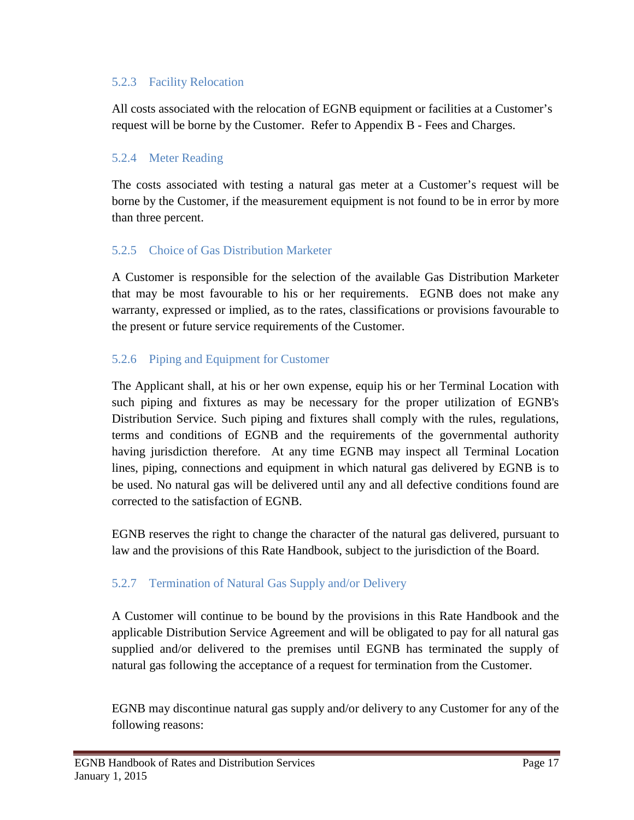### 5.2.3 Facility Relocation

All costs associated with the relocation of EGNB equipment or facilities at a Customer's request will be borne by the Customer. Refer to Appendix B - Fees and Charges.

### 5.2.4 Meter Reading

The costs associated with testing a natural gas meter at a Customer's request will be borne by the Customer, if the measurement equipment is not found to be in error by more than three percent.

### 5.2.5 Choice of Gas Distribution Marketer

A Customer is responsible for the selection of the available Gas Distribution Marketer that may be most favourable to his or her requirements. EGNB does not make any warranty, expressed or implied, as to the rates, classifications or provisions favourable to the present or future service requirements of the Customer.

### 5.2.6 Piping and Equipment for Customer

The Applicant shall, at his or her own expense, equip his or her Terminal Location with such piping and fixtures as may be necessary for the proper utilization of EGNB's Distribution Service. Such piping and fixtures shall comply with the rules, regulations, terms and conditions of EGNB and the requirements of the governmental authority having jurisdiction therefore. At any time EGNB may inspect all Terminal Location lines, piping, connections and equipment in which natural gas delivered by EGNB is to be used. No natural gas will be delivered until any and all defective conditions found are corrected to the satisfaction of EGNB.

EGNB reserves the right to change the character of the natural gas delivered, pursuant to law and the provisions of this Rate Handbook, subject to the jurisdiction of the Board.

# 5.2.7 Termination of Natural Gas Supply and/or Delivery

A Customer will continue to be bound by the provisions in this Rate Handbook and the applicable Distribution Service Agreement and will be obligated to pay for all natural gas supplied and/or delivered to the premises until EGNB has terminated the supply of natural gas following the acceptance of a request for termination from the Customer.

EGNB may discontinue natural gas supply and/or delivery to any Customer for any of the following reasons: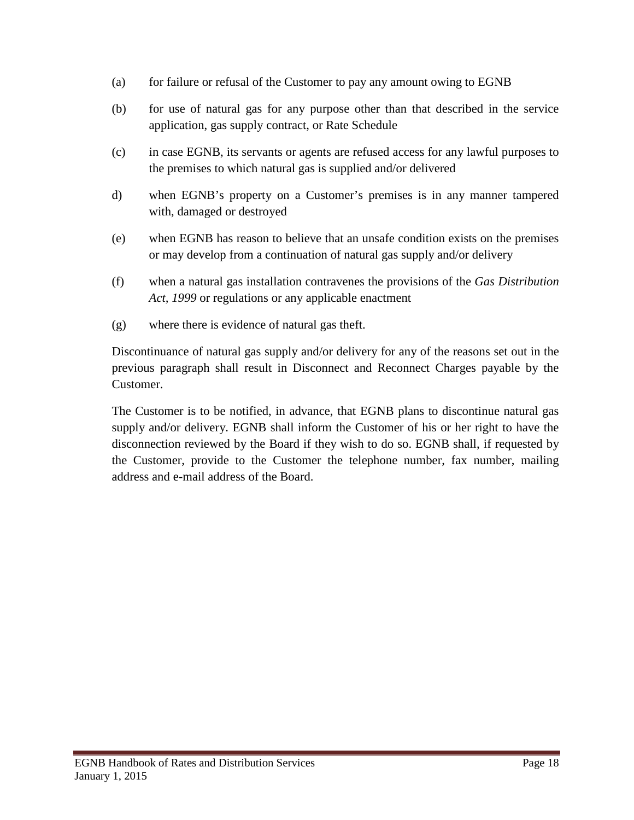- (a) for failure or refusal of the Customer to pay any amount owing to EGNB
- (b) for use of natural gas for any purpose other than that described in the service application, gas supply contract, or Rate Schedule
- (c) in case EGNB, its servants or agents are refused access for any lawful purposes to the premises to which natural gas is supplied and/or delivered
- d) when EGNB's property on a Customer's premises is in any manner tampered with, damaged or destroyed
- (e) when EGNB has reason to believe that an unsafe condition exists on the premises or may develop from a continuation of natural gas supply and/or delivery
- (f) when a natural gas installation contravenes the provisions of the *Gas Distribution Act, 1999* or regulations or any applicable enactment
- (g) where there is evidence of natural gas theft.

Discontinuance of natural gas supply and/or delivery for any of the reasons set out in the previous paragraph shall result in Disconnect and Reconnect Charges payable by the Customer.

The Customer is to be notified, in advance, that EGNB plans to discontinue natural gas supply and/or delivery. EGNB shall inform the Customer of his or her right to have the disconnection reviewed by the Board if they wish to do so. EGNB shall, if requested by the Customer, provide to the Customer the telephone number, fax number, mailing address and e-mail address of the Board.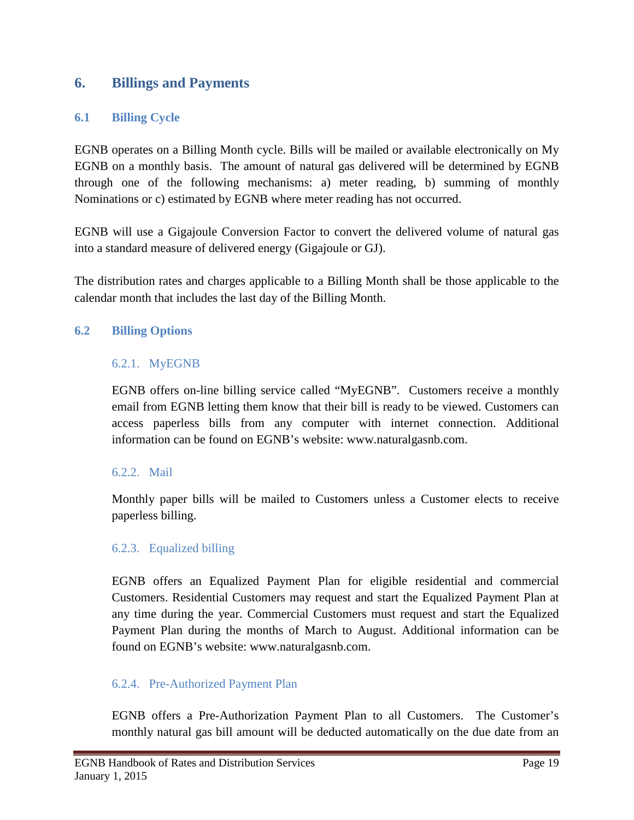### <span id="page-20-0"></span>**6. Billings and Payments**

### <span id="page-20-1"></span>**6.1 Billing Cycle**

EGNB operates on a Billing Month cycle. Bills will be mailed or available electronically on My EGNB on a monthly basis. The amount of natural gas delivered will be determined by EGNB through one of the following mechanisms: a) meter reading, b) summing of monthly Nominations or c) estimated by EGNB where meter reading has not occurred.

EGNB will use a Gigajoule Conversion Factor to convert the delivered volume of natural gas into a standard measure of delivered energy (Gigajoule or GJ).

The distribution rates and charges applicable to a Billing Month shall be those applicable to the calendar month that includes the last day of the Billing Month.

### <span id="page-20-2"></span>**6.2 Billing Options**

### 6.2.1. MyEGNB

EGNB offers on-line billing service called "MyEGNB". Customers receive a monthly email from EGNB letting them know that their bill is ready to be viewed. Customers can access paperless bills from any computer with internet connection. Additional information can be found on EGNB's website: www.naturalgasnb.com.

### 6.2.2. Mail

Monthly paper bills will be mailed to Customers unless a Customer elects to receive paperless billing.

### 6.2.3. Equalized billing

EGNB offers an Equalized Payment Plan for eligible residential and commercial Customers. Residential Customers may request and start the Equalized Payment Plan at any time during the year. Commercial Customers must request and start the Equalized Payment Plan during the months of March to August. Additional information can be found on EGNB's website: www.naturalgasnb.com.

### 6.2.4. Pre-Authorized Payment Plan

EGNB offers a Pre-Authorization Payment Plan to all Customers. The Customer's monthly natural gas bill amount will be deducted automatically on the due date from an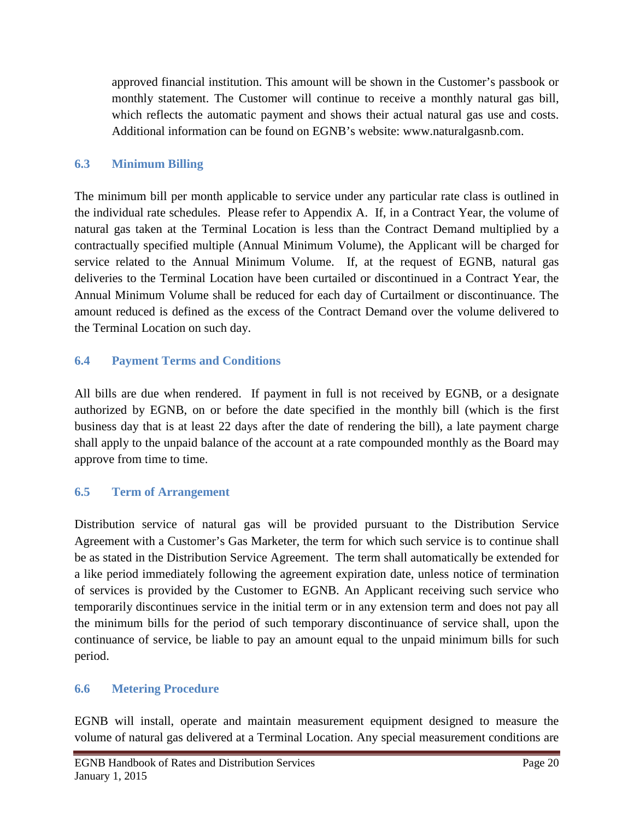approved financial institution. This amount will be shown in the Customer's passbook or monthly statement. The Customer will continue to receive a monthly natural gas bill, which reflects the automatic payment and shows their actual natural gas use and costs. Additional information can be found on EGNB's website: www.naturalgasnb.com.

### <span id="page-21-0"></span>**6.3 Minimum Billing**

The minimum bill per month applicable to service under any particular rate class is outlined in the individual rate schedules. Please refer to Appendix A. If, in a Contract Year, the volume of natural gas taken at the Terminal Location is less than the Contract Demand multiplied by a contractually specified multiple (Annual Minimum Volume), the Applicant will be charged for service related to the Annual Minimum Volume. If, at the request of EGNB, natural gas deliveries to the Terminal Location have been curtailed or discontinued in a Contract Year, the Annual Minimum Volume shall be reduced for each day of Curtailment or discontinuance. The amount reduced is defined as the excess of the Contract Demand over the volume delivered to the Terminal Location on such day.

### <span id="page-21-1"></span>**6.4 Payment Terms and Conditions**

All bills are due when rendered. If payment in full is not received by EGNB, or a designate authorized by EGNB, on or before the date specified in the monthly bill (which is the first business day that is at least 22 days after the date of rendering the bill), a late payment charge shall apply to the unpaid balance of the account at a rate compounded monthly as the Board may approve from time to time.

# <span id="page-21-2"></span>**6.5 Term of Arrangement**

Distribution service of natural gas will be provided pursuant to the Distribution Service Agreement with a Customer's Gas Marketer, the term for which such service is to continue shall be as stated in the Distribution Service Agreement. The term shall automatically be extended for a like period immediately following the agreement expiration date, unless notice of termination of services is provided by the Customer to EGNB. An Applicant receiving such service who temporarily discontinues service in the initial term or in any extension term and does not pay all the minimum bills for the period of such temporary discontinuance of service shall, upon the continuance of service, be liable to pay an amount equal to the unpaid minimum bills for such period.

### <span id="page-21-3"></span>**6.6 Metering Procedure**

EGNB will install, operate and maintain measurement equipment designed to measure the volume of natural gas delivered at a Terminal Location. Any special measurement conditions are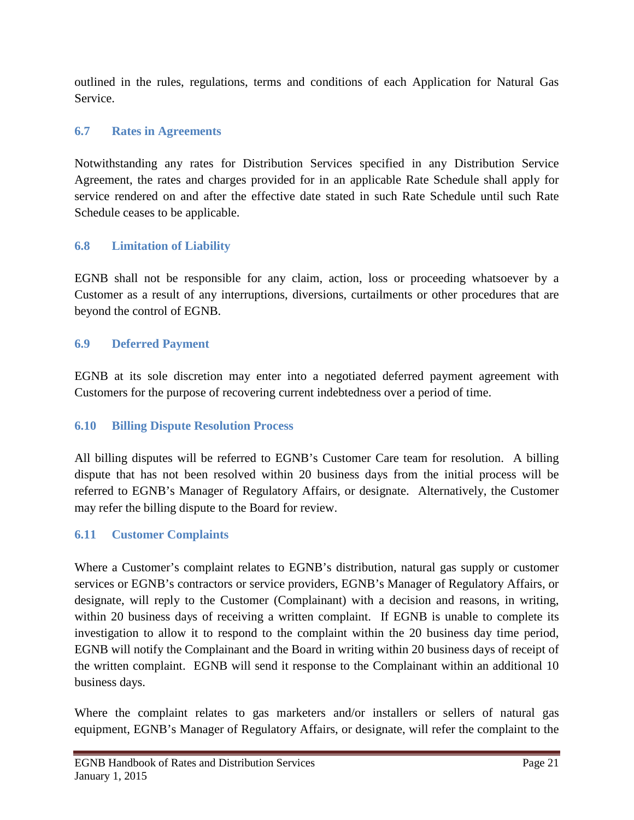outlined in the rules, regulations, terms and conditions of each Application for Natural Gas Service.

### <span id="page-22-0"></span>**6.7 Rates in Agreements**

Notwithstanding any rates for Distribution Services specified in any Distribution Service Agreement, the rates and charges provided for in an applicable Rate Schedule shall apply for service rendered on and after the effective date stated in such Rate Schedule until such Rate Schedule ceases to be applicable.

### <span id="page-22-1"></span>**6.8 Limitation of Liability**

EGNB shall not be responsible for any claim, action, loss or proceeding whatsoever by a Customer as a result of any interruptions, diversions, curtailments or other procedures that are beyond the control of EGNB.

### <span id="page-22-2"></span>**6.9 Deferred Payment**

EGNB at its sole discretion may enter into a negotiated deferred payment agreement with Customers for the purpose of recovering current indebtedness over a period of time.

### <span id="page-22-3"></span>**6.10 Billing Dispute Resolution Process**

All billing disputes will be referred to EGNB's Customer Care team for resolution. A billing dispute that has not been resolved within 20 business days from the initial process will be referred to EGNB's Manager of Regulatory Affairs, or designate. Alternatively, the Customer may refer the billing dispute to the Board for review.

# <span id="page-22-4"></span>**6.11 Customer Complaints**

Where a Customer's complaint relates to EGNB's distribution, natural gas supply or customer services or EGNB's contractors or service providers, EGNB's Manager of Regulatory Affairs, or designate, will reply to the Customer (Complainant) with a decision and reasons, in writing, within 20 business days of receiving a written complaint. If EGNB is unable to complete its investigation to allow it to respond to the complaint within the 20 business day time period, EGNB will notify the Complainant and the Board in writing within 20 business days of receipt of the written complaint. EGNB will send it response to the Complainant within an additional 10 business days.

Where the complaint relates to gas marketers and/or installers or sellers of natural gas equipment, EGNB's Manager of Regulatory Affairs, or designate, will refer the complaint to the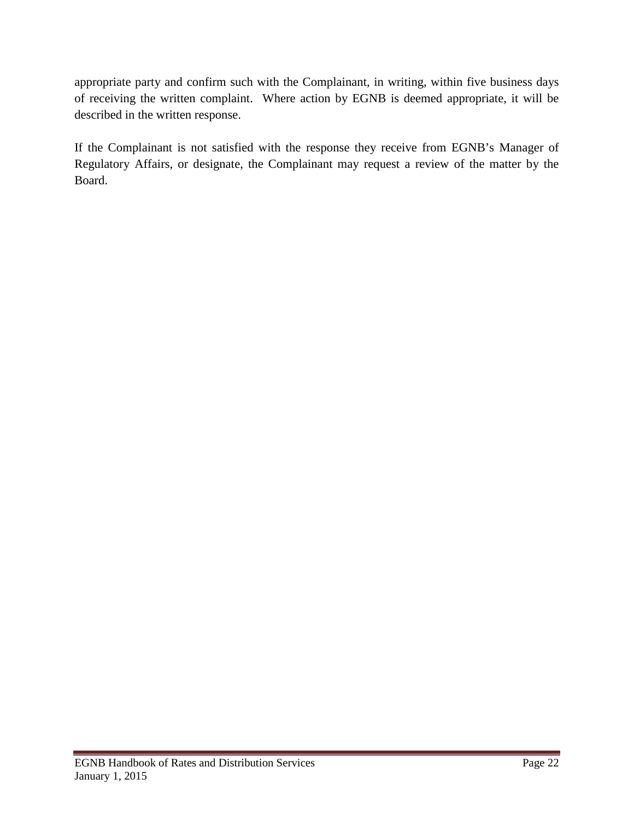appropriate party and confirm such with the Complainant, in writing, within five business days of receiving the written complaint. Where action by EGNB is deemed appropriate, it will be described in the written response.

If the Complainant is not satisfied with the response they receive from EGNB's Manager of Regulatory Affairs, or designate, the Complainant may request a review of the matter by the Board.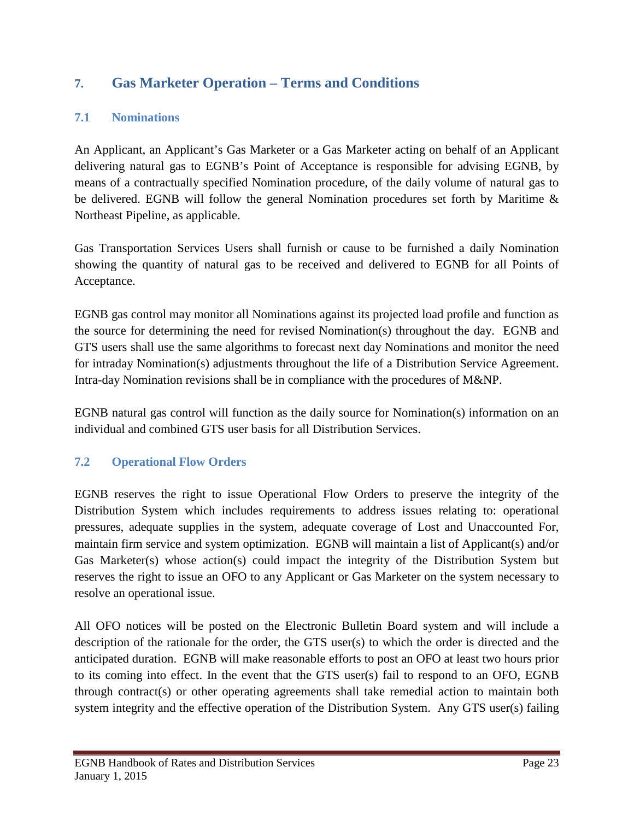# <span id="page-24-0"></span>**7. Gas Marketer Operation – Terms and Conditions**

### <span id="page-24-1"></span>**7.1 Nominations**

An Applicant, an Applicant's Gas Marketer or a Gas Marketer acting on behalf of an Applicant delivering natural gas to EGNB's Point of Acceptance is responsible for advising EGNB, by means of a contractually specified Nomination procedure, of the daily volume of natural gas to be delivered. EGNB will follow the general Nomination procedures set forth by Maritime & Northeast Pipeline, as applicable.

Gas Transportation Services Users shall furnish or cause to be furnished a daily Nomination showing the quantity of natural gas to be received and delivered to EGNB for all Points of Acceptance.

EGNB gas control may monitor all Nominations against its projected load profile and function as the source for determining the need for revised Nomination(s) throughout the day. EGNB and GTS users shall use the same algorithms to forecast next day Nominations and monitor the need for intraday Nomination(s) adjustments throughout the life of a Distribution Service Agreement. Intra-day Nomination revisions shall be in compliance with the procedures of M&NP.

EGNB natural gas control will function as the daily source for Nomination(s) information on an individual and combined GTS user basis for all Distribution Services.

### <span id="page-24-2"></span>**7.2 Operational Flow Orders**

EGNB reserves the right to issue Operational Flow Orders to preserve the integrity of the Distribution System which includes requirements to address issues relating to: operational pressures, adequate supplies in the system, adequate coverage of Lost and Unaccounted For, maintain firm service and system optimization. EGNB will maintain a list of Applicant(s) and/or Gas Marketer(s) whose action(s) could impact the integrity of the Distribution System but reserves the right to issue an OFO to any Applicant or Gas Marketer on the system necessary to resolve an operational issue.

All OFO notices will be posted on the Electronic Bulletin Board system and will include a description of the rationale for the order, the GTS user(s) to which the order is directed and the anticipated duration. EGNB will make reasonable efforts to post an OFO at least two hours prior to its coming into effect. In the event that the GTS user(s) fail to respond to an OFO, EGNB through contract(s) or other operating agreements shall take remedial action to maintain both system integrity and the effective operation of the Distribution System. Any GTS user(s) failing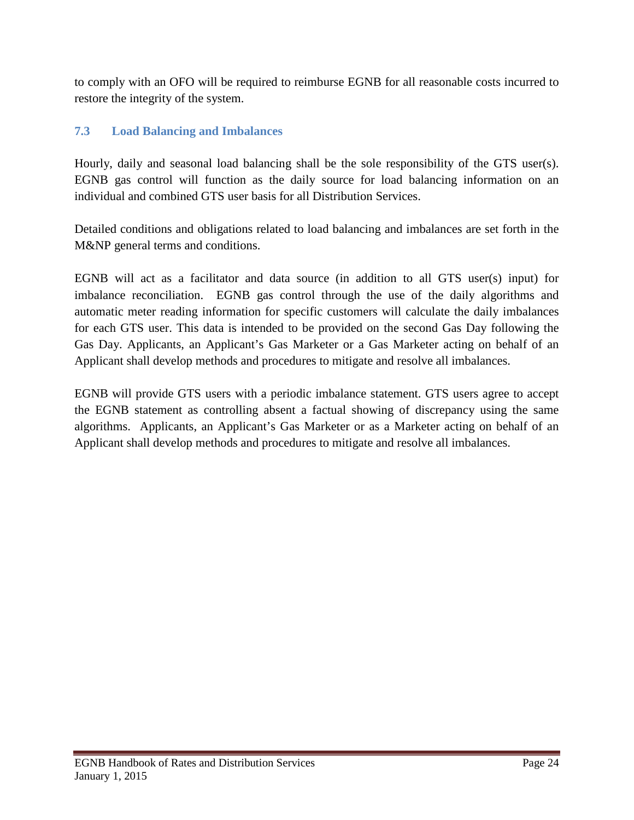to comply with an OFO will be required to reimburse EGNB for all reasonable costs incurred to restore the integrity of the system.

# <span id="page-25-0"></span>**7.3 Load Balancing and Imbalances**

Hourly, daily and seasonal load balancing shall be the sole responsibility of the GTS user(s). EGNB gas control will function as the daily source for load balancing information on an individual and combined GTS user basis for all Distribution Services.

Detailed conditions and obligations related to load balancing and imbalances are set forth in the M&NP general terms and conditions.

EGNB will act as a facilitator and data source (in addition to all GTS user(s) input) for imbalance reconciliation. EGNB gas control through the use of the daily algorithms and automatic meter reading information for specific customers will calculate the daily imbalances for each GTS user. This data is intended to be provided on the second Gas Day following the Gas Day. Applicants, an Applicant's Gas Marketer or a Gas Marketer acting on behalf of an Applicant shall develop methods and procedures to mitigate and resolve all imbalances.

EGNB will provide GTS users with a periodic imbalance statement. GTS users agree to accept the EGNB statement as controlling absent a factual showing of discrepancy using the same algorithms. Applicants, an Applicant's Gas Marketer or as a Marketer acting on behalf of an Applicant shall develop methods and procedures to mitigate and resolve all imbalances.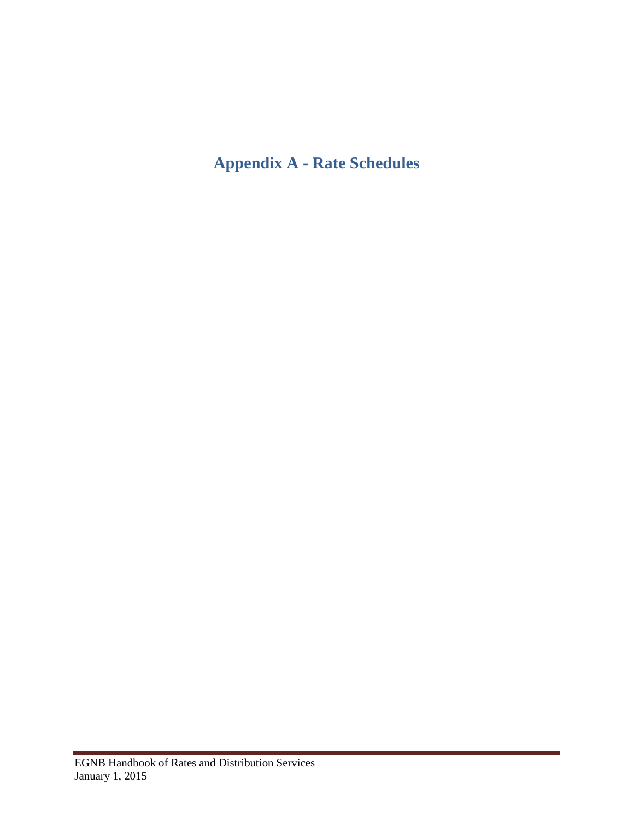# <span id="page-26-0"></span>**Appendix A - Rate Schedules**

 $\sim$  10  $\pm$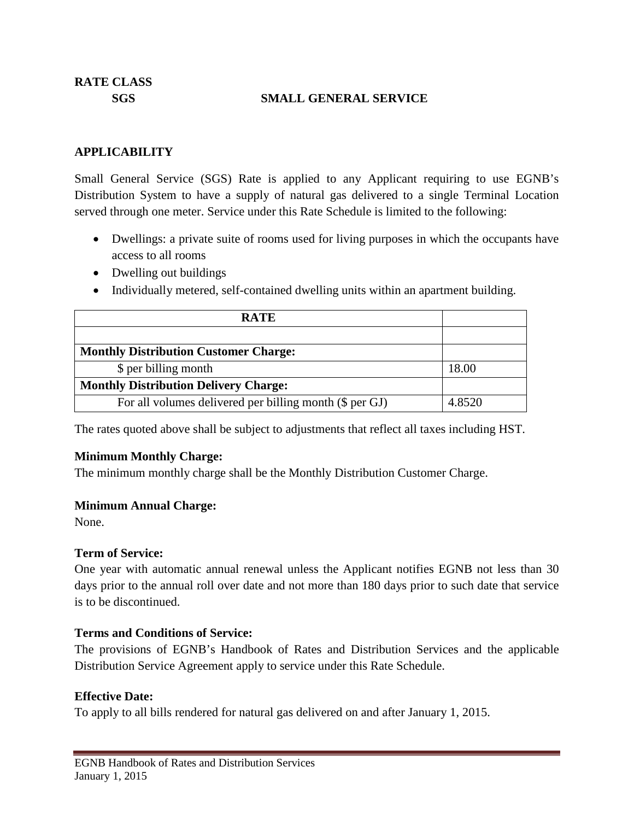### **SGS SMALL GENERAL SERVICE**

### **APPLICABILITY**

Small General Service (SGS) Rate is applied to any Applicant requiring to use EGNB's Distribution System to have a supply of natural gas delivered to a single Terminal Location served through one meter. Service under this Rate Schedule is limited to the following:

- Dwellings: a private suite of rooms used for living purposes in which the occupants have access to all rooms
- Dwelling out buildings
- Individually metered, self-contained dwelling units within an apartment building.

| <b>RATE</b>                                             |        |
|---------------------------------------------------------|--------|
|                                                         |        |
| <b>Monthly Distribution Customer Charge:</b>            |        |
| \$ per billing month                                    | 18.00  |
| <b>Monthly Distribution Delivery Charge:</b>            |        |
| For all volumes delivered per billing month (\$ per GJ) | 4.8520 |

The rates quoted above shall be subject to adjustments that reflect all taxes including HST.

### **Minimum Monthly Charge:**

The minimum monthly charge shall be the Monthly Distribution Customer Charge.

### **Minimum Annual Charge:**

None.

### **Term of Service:**

One year with automatic annual renewal unless the Applicant notifies EGNB not less than 30 days prior to the annual roll over date and not more than 180 days prior to such date that service is to be discontinued.

### **Terms and Conditions of Service:**

The provisions of EGNB's Handbook of Rates and Distribution Services and the applicable Distribution Service Agreement apply to service under this Rate Schedule.

### **Effective Date:**

To apply to all bills rendered for natural gas delivered on and after January 1, 2015.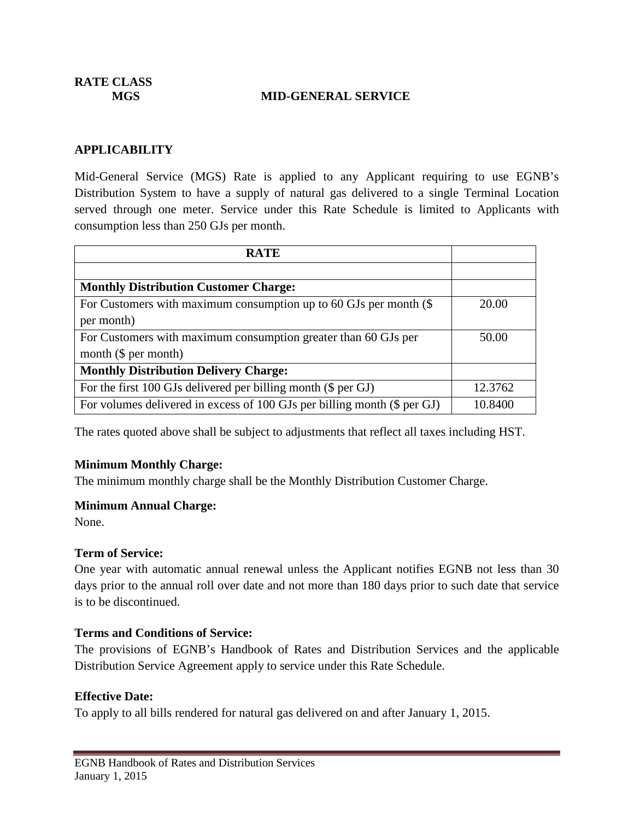**RATE CLASS**

#### **MGS MID-GENERAL SERVICE**

#### **APPLICABILITY**

Mid-General Service (MGS) Rate is applied to any Applicant requiring to use EGNB's Distribution System to have a supply of natural gas delivered to a single Terminal Location served through one meter. Service under this Rate Schedule is limited to Applicants with consumption less than 250 GJs per month.

| <b>RATE</b>                                                              |         |
|--------------------------------------------------------------------------|---------|
|                                                                          |         |
| <b>Monthly Distribution Customer Charge:</b>                             |         |
| For Customers with maximum consumption up to 60 GJs per month $(\$$      | 20.00   |
| per month)                                                               |         |
| For Customers with maximum consumption greater than 60 GJs per           | 50.00   |
| month $(\$$ per month)                                                   |         |
| <b>Monthly Distribution Delivery Charge:</b>                             |         |
| For the first 100 GJs delivered per billing month (\$ per GJ)            | 12.3762 |
| For volumes delivered in excess of 100 GJs per billing month (\$ per GJ) | 10.8400 |

The rates quoted above shall be subject to adjustments that reflect all taxes including HST.

#### **Minimum Monthly Charge:**

The minimum monthly charge shall be the Monthly Distribution Customer Charge.

#### **Minimum Annual Charge:**

None.

#### **Term of Service:**

One year with automatic annual renewal unless the Applicant notifies EGNB not less than 30 days prior to the annual roll over date and not more than 180 days prior to such date that service is to be discontinued.

#### **Terms and Conditions of Service:**

The provisions of EGNB's Handbook of Rates and Distribution Services and the applicable Distribution Service Agreement apply to service under this Rate Schedule.

#### **Effective Date:**

To apply to all bills rendered for natural gas delivered on and after January 1, 2015.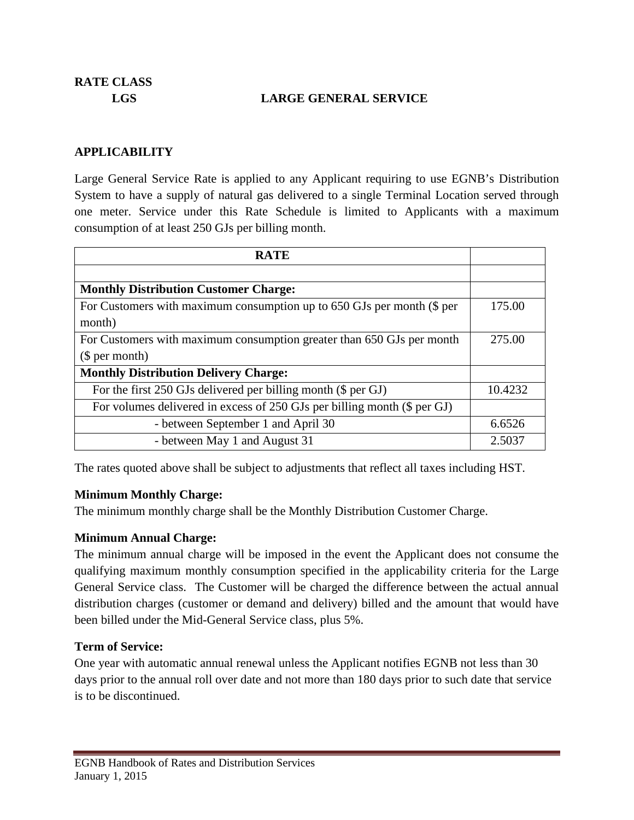**RATE CLASS**

### **LGS LARGE GENERAL SERVICE**

#### **APPLICABILITY**

Large General Service Rate is applied to any Applicant requiring to use EGNB's Distribution System to have a supply of natural gas delivered to a single Terminal Location served through one meter. Service under this Rate Schedule is limited to Applicants with a maximum consumption of at least 250 GJs per billing month.

| <b>RATE</b>                                                              |         |  |
|--------------------------------------------------------------------------|---------|--|
|                                                                          |         |  |
| <b>Monthly Distribution Customer Charge:</b>                             |         |  |
| For Customers with maximum consumption up to 650 GJs per month (\$ per   | 175.00  |  |
| month)                                                                   |         |  |
| For Customers with maximum consumption greater than 650 GJs per month    | 275.00  |  |
| \$per month)                                                             |         |  |
| <b>Monthly Distribution Delivery Charge:</b>                             |         |  |
| For the first 250 GJs delivered per billing month (\$ per GJ)            | 10.4232 |  |
| For volumes delivered in excess of 250 GJs per billing month (\$ per GJ) |         |  |
| - between September 1 and April 30                                       | 6.6526  |  |
| - between May 1 and August 31                                            | 2.5037  |  |

The rates quoted above shall be subject to adjustments that reflect all taxes including HST.

#### **Minimum Monthly Charge:**

The minimum monthly charge shall be the Monthly Distribution Customer Charge.

### **Minimum Annual Charge:**

The minimum annual charge will be imposed in the event the Applicant does not consume the qualifying maximum monthly consumption specified in the applicability criteria for the Large General Service class. The Customer will be charged the difference between the actual annual distribution charges (customer or demand and delivery) billed and the amount that would have been billed under the Mid-General Service class, plus 5%.

#### **Term of Service:**

One year with automatic annual renewal unless the Applicant notifies EGNB not less than 30 days prior to the annual roll over date and not more than 180 days prior to such date that service is to be discontinued.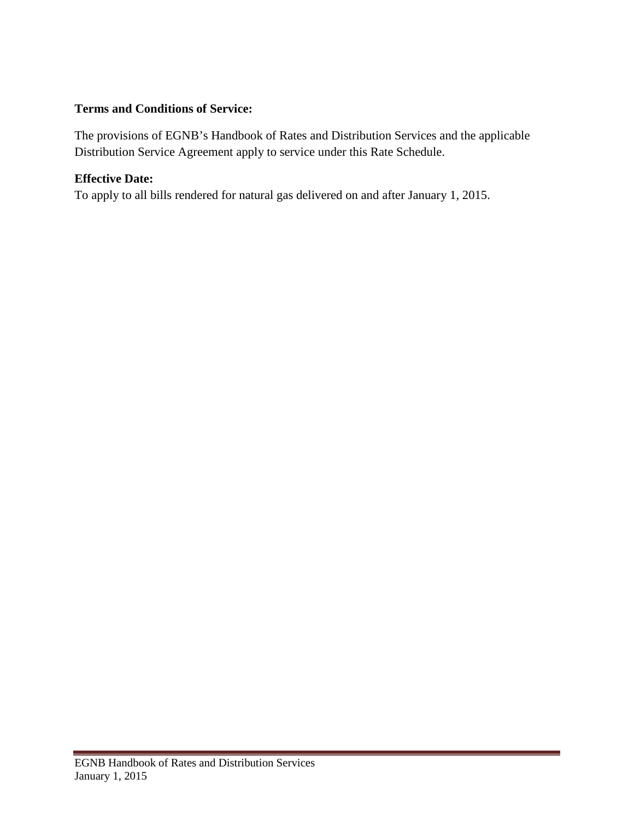### **Terms and Conditions of Service:**

The provisions of EGNB's Handbook of Rates and Distribution Services and the applicable Distribution Service Agreement apply to service under this Rate Schedule.

### **Effective Date:**

To apply to all bills rendered for natural gas delivered on and after January 1, 2015.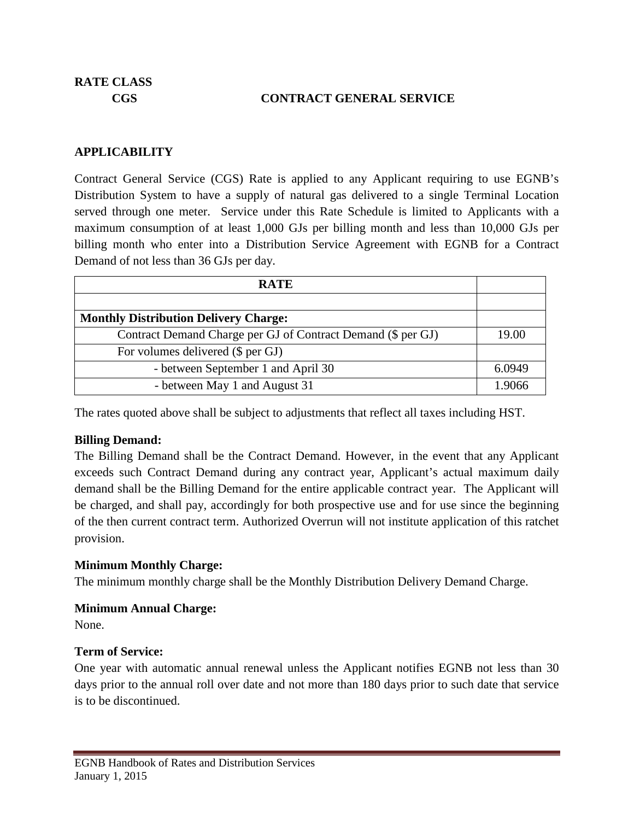### **CGS CONTRACT GENERAL SERVICE**

### **APPLICABILITY**

Contract General Service (CGS) Rate is applied to any Applicant requiring to use EGNB's Distribution System to have a supply of natural gas delivered to a single Terminal Location served through one meter. Service under this Rate Schedule is limited to Applicants with a maximum consumption of at least 1,000 GJs per billing month and less than 10,000 GJs per billing month who enter into a Distribution Service Agreement with EGNB for a Contract Demand of not less than 36 GJs per day.

| <b>RATE</b>                                                  |        |
|--------------------------------------------------------------|--------|
|                                                              |        |
| <b>Monthly Distribution Delivery Charge:</b>                 |        |
| Contract Demand Charge per GJ of Contract Demand (\$ per GJ) | 19.00  |
| For volumes delivered (\$ per GJ)                            |        |
| - between September 1 and April 30                           | 6.0949 |
| - between May 1 and August 31                                | 1.9066 |

The rates quoted above shall be subject to adjustments that reflect all taxes including HST.

### **Billing Demand:**

The Billing Demand shall be the Contract Demand. However, in the event that any Applicant exceeds such Contract Demand during any contract year, Applicant's actual maximum daily demand shall be the Billing Demand for the entire applicable contract year. The Applicant will be charged, and shall pay, accordingly for both prospective use and for use since the beginning of the then current contract term. Authorized Overrun will not institute application of this ratchet provision.

### **Minimum Monthly Charge:**

The minimum monthly charge shall be the Monthly Distribution Delivery Demand Charge.

### **Minimum Annual Charge:**

None.

### **Term of Service:**

One year with automatic annual renewal unless the Applicant notifies EGNB not less than 30 days prior to the annual roll over date and not more than 180 days prior to such date that service is to be discontinued.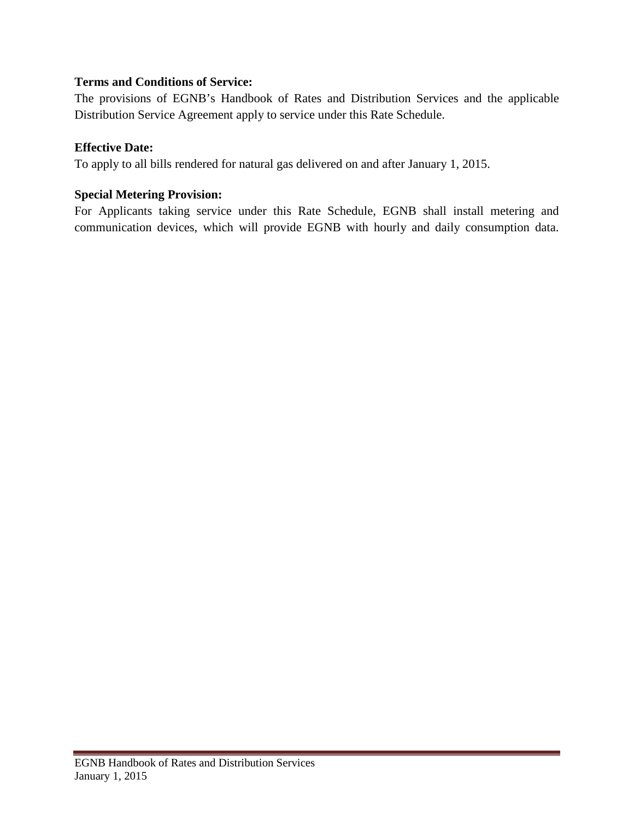### **Terms and Conditions of Service:**

The provisions of EGNB's Handbook of Rates and Distribution Services and the applicable Distribution Service Agreement apply to service under this Rate Schedule.

### **Effective Date:**

To apply to all bills rendered for natural gas delivered on and after January 1, 2015.

### **Special Metering Provision:**

For Applicants taking service under this Rate Schedule, EGNB shall install metering and communication devices, which will provide EGNB with hourly and daily consumption data.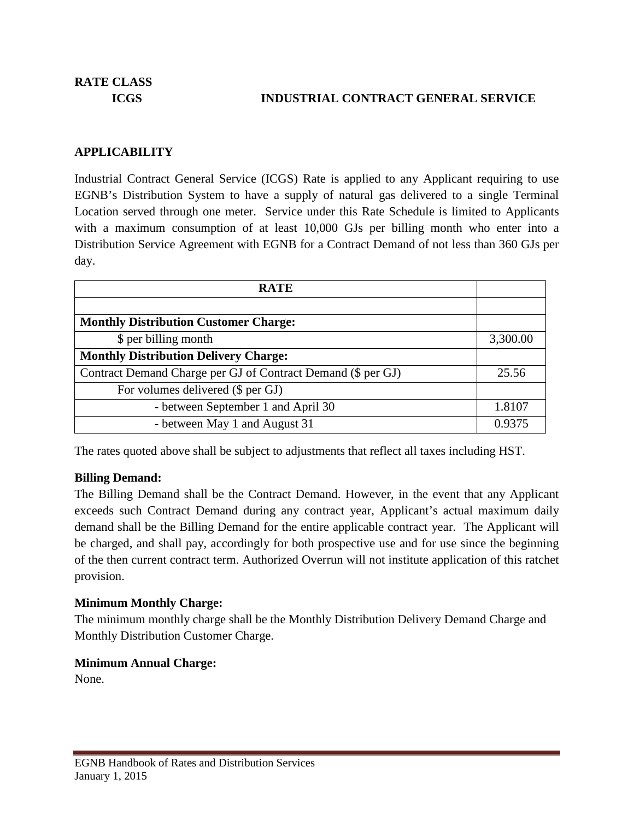### **ICGS INDUSTRIAL CONTRACT GENERAL SERVICE**

### **APPLICABILITY**

Industrial Contract General Service (ICGS) Rate is applied to any Applicant requiring to use EGNB's Distribution System to have a supply of natural gas delivered to a single Terminal Location served through one meter. Service under this Rate Schedule is limited to Applicants with a maximum consumption of at least 10,000 GJs per billing month who enter into a Distribution Service Agreement with EGNB for a Contract Demand of not less than 360 GJs per day.

| <b>RATE</b>                                                  |          |
|--------------------------------------------------------------|----------|
|                                                              |          |
| <b>Monthly Distribution Customer Charge:</b>                 |          |
| \$ per billing month                                         | 3,300.00 |
| <b>Monthly Distribution Delivery Charge:</b>                 |          |
| Contract Demand Charge per GJ of Contract Demand (\$ per GJ) |          |
| For volumes delivered (\$ per GJ)                            |          |
| - between September 1 and April 30                           | 1.8107   |
| - between May 1 and August 31                                | 0.9375   |

The rates quoted above shall be subject to adjustments that reflect all taxes including HST.

### **Billing Demand:**

The Billing Demand shall be the Contract Demand. However, in the event that any Applicant exceeds such Contract Demand during any contract year, Applicant's actual maximum daily demand shall be the Billing Demand for the entire applicable contract year. The Applicant will be charged, and shall pay, accordingly for both prospective use and for use since the beginning of the then current contract term. Authorized Overrun will not institute application of this ratchet provision.

### **Minimum Monthly Charge:**

The minimum monthly charge shall be the Monthly Distribution Delivery Demand Charge and Monthly Distribution Customer Charge.

### **Minimum Annual Charge:**

None.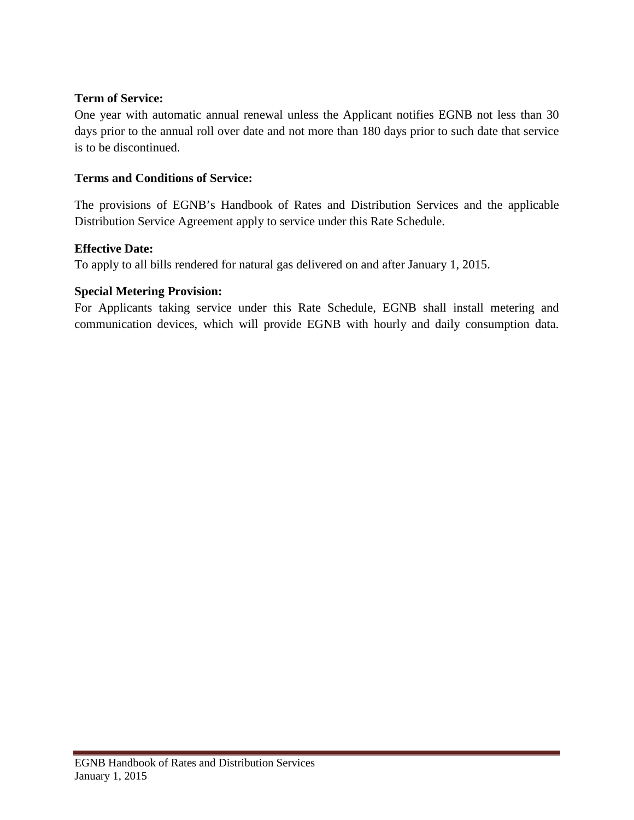### **Term of Service:**

One year with automatic annual renewal unless the Applicant notifies EGNB not less than 30 days prior to the annual roll over date and not more than 180 days prior to such date that service is to be discontinued.

### **Terms and Conditions of Service:**

The provisions of EGNB's Handbook of Rates and Distribution Services and the applicable Distribution Service Agreement apply to service under this Rate Schedule.

### **Effective Date:**

To apply to all bills rendered for natural gas delivered on and after January 1, 2015.

### **Special Metering Provision:**

For Applicants taking service under this Rate Schedule, EGNB shall install metering and communication devices, which will provide EGNB with hourly and daily consumption data.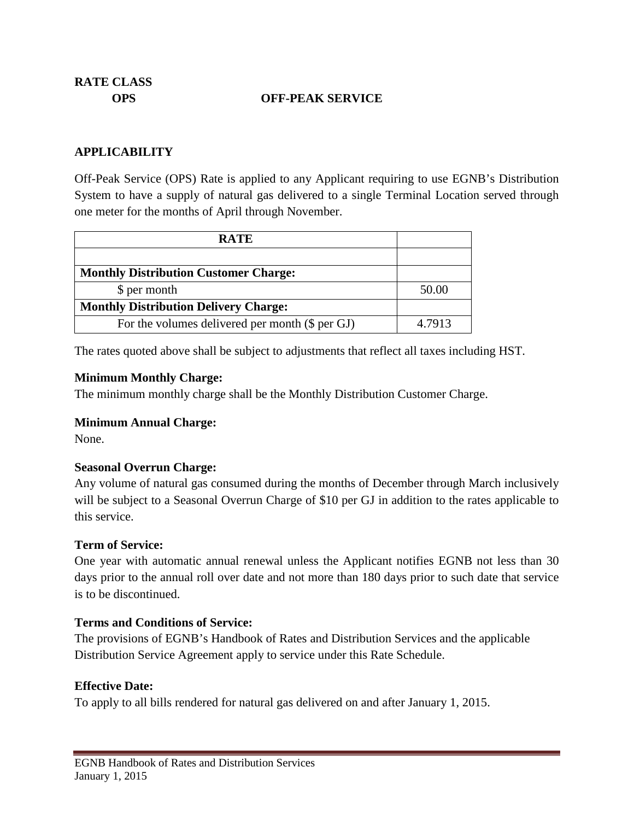### **OPS OFF-PEAK SERVICE**

### **APPLICABILITY**

Off-Peak Service (OPS) Rate is applied to any Applicant requiring to use EGNB's Distribution System to have a supply of natural gas delivered to a single Terminal Location served through one meter for the months of April through November.

| <b>RATE</b>                                     |        |
|-------------------------------------------------|--------|
|                                                 |        |
| <b>Monthly Distribution Customer Charge:</b>    |        |
| \$ per month                                    | 50.00  |
| <b>Monthly Distribution Delivery Charge:</b>    |        |
| For the volumes delivered per month (\$ per GJ) | 4.7913 |

The rates quoted above shall be subject to adjustments that reflect all taxes including HST.

#### **Minimum Monthly Charge:**

The minimum monthly charge shall be the Monthly Distribution Customer Charge.

### **Minimum Annual Charge:**

None.

### **Seasonal Overrun Charge:**

Any volume of natural gas consumed during the months of December through March inclusively will be subject to a Seasonal Overrun Charge of \$10 per GJ in addition to the rates applicable to this service.

### **Term of Service:**

One year with automatic annual renewal unless the Applicant notifies EGNB not less than 30 days prior to the annual roll over date and not more than 180 days prior to such date that service is to be discontinued.

### **Terms and Conditions of Service:**

The provisions of EGNB's Handbook of Rates and Distribution Services and the applicable Distribution Service Agreement apply to service under this Rate Schedule.

### **Effective Date:**

To apply to all bills rendered for natural gas delivered on and after January 1, 2015.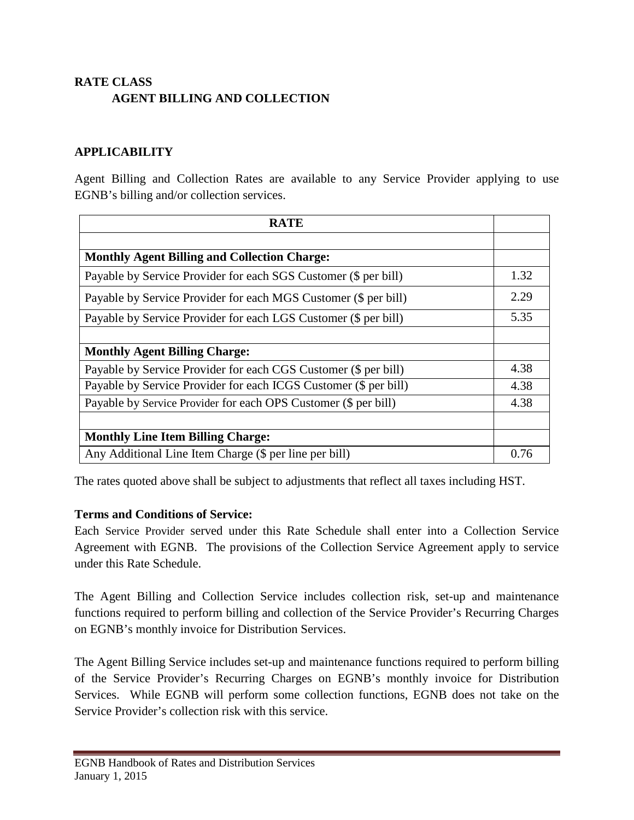# **RATE CLASS AGENT BILLING AND COLLECTION**

### **APPLICABILITY**

Agent Billing and Collection Rates are available to any Service Provider applying to use EGNB's billing and/or collection services.

| <b>RATE</b>                                                      |      |
|------------------------------------------------------------------|------|
|                                                                  |      |
| <b>Monthly Agent Billing and Collection Charge:</b>              |      |
| Payable by Service Provider for each SGS Customer (\$ per bill)  | 1.32 |
| Payable by Service Provider for each MGS Customer (\$ per bill)  | 2.29 |
| Payable by Service Provider for each LGS Customer (\$ per bill)  | 5.35 |
|                                                                  |      |
| <b>Monthly Agent Billing Charge:</b>                             |      |
| Payable by Service Provider for each CGS Customer (\$ per bill)  | 4.38 |
| Payable by Service Provider for each ICGS Customer (\$ per bill) | 4.38 |
| Payable by Service Provider for each OPS Customer (\$ per bill)  | 4.38 |
|                                                                  |      |
| <b>Monthly Line Item Billing Charge:</b>                         |      |
| Any Additional Line Item Charge (\$ per line per bill)           | 0.76 |

The rates quoted above shall be subject to adjustments that reflect all taxes including HST.

### **Terms and Conditions of Service:**

Each Service Provider served under this Rate Schedule shall enter into a Collection Service Agreement with EGNB. The provisions of the Collection Service Agreement apply to service under this Rate Schedule.

The Agent Billing and Collection Service includes collection risk, set-up and maintenance functions required to perform billing and collection of the Service Provider's Recurring Charges on EGNB's monthly invoice for Distribution Services.

The Agent Billing Service includes set-up and maintenance functions required to perform billing of the Service Provider's Recurring Charges on EGNB's monthly invoice for Distribution Services. While EGNB will perform some collection functions, EGNB does not take on the Service Provider's collection risk with this service.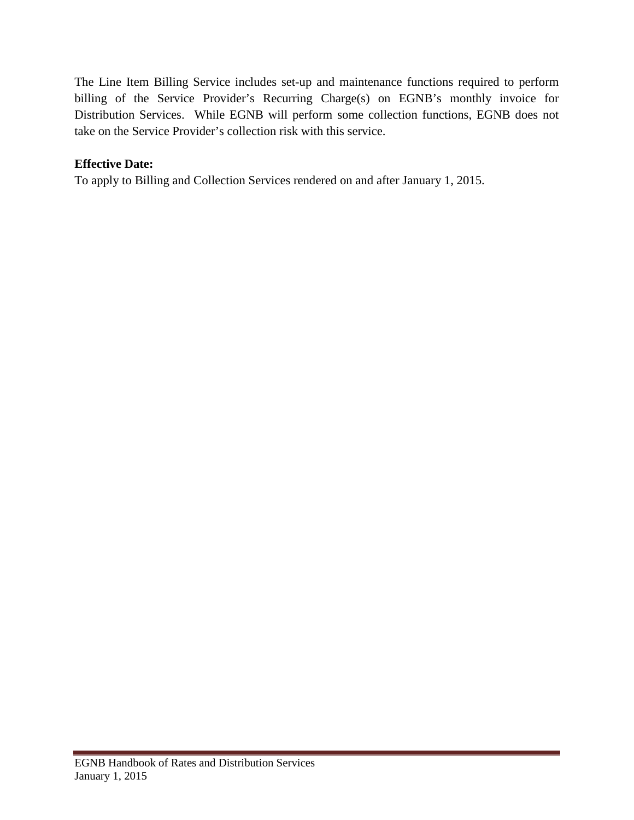The Line Item Billing Service includes set-up and maintenance functions required to perform billing of the Service Provider's Recurring Charge(s) on EGNB's monthly invoice for Distribution Services. While EGNB will perform some collection functions, EGNB does not take on the Service Provider's collection risk with this service.

### **Effective Date:**

To apply to Billing and Collection Services rendered on and after January 1, 2015.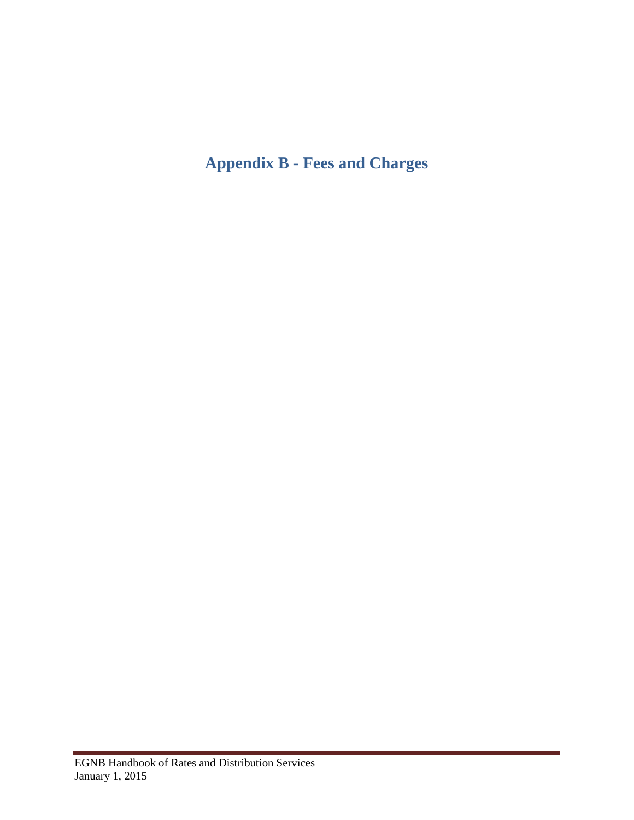# <span id="page-38-0"></span>**Appendix B - Fees and Charges**

 $\sim$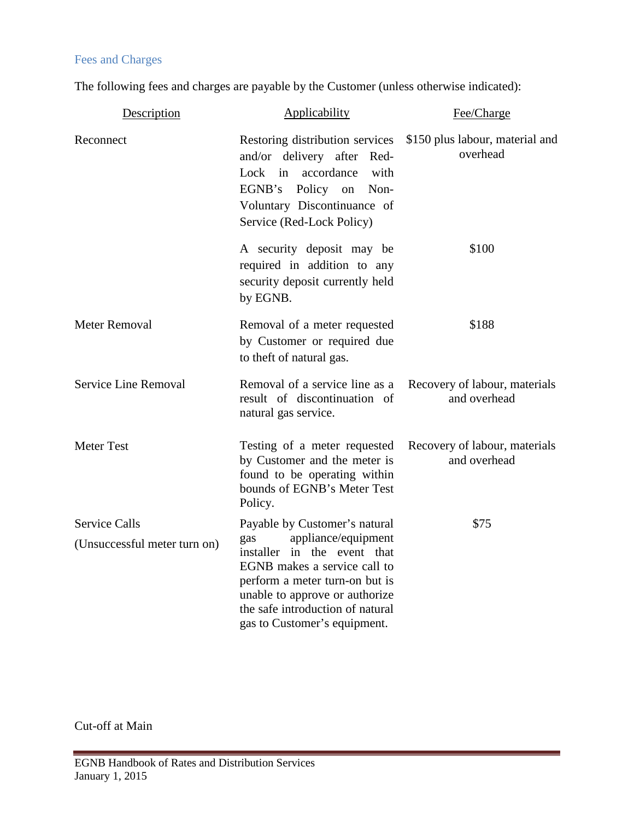# Fees and Charges

The following fees and charges are payable by the Customer (unless otherwise indicated):

| Description                                          | Applicability                                                                                                                                                                                                                                                      | Fee/Charge                                    |
|------------------------------------------------------|--------------------------------------------------------------------------------------------------------------------------------------------------------------------------------------------------------------------------------------------------------------------|-----------------------------------------------|
| Reconnect                                            | Restoring distribution services<br>and/or delivery after Red-<br>Lock in accordance<br>with<br>EGNB's Policy on Non-<br>Voluntary Discontinuance of<br>Service (Red-Lock Policy)                                                                                   | \$150 plus labour, material and<br>overhead   |
|                                                      | A security deposit may be<br>required in addition to any<br>security deposit currently held<br>by EGNB.                                                                                                                                                            | \$100                                         |
| <b>Meter Removal</b>                                 | Removal of a meter requested<br>by Customer or required due<br>to theft of natural gas.                                                                                                                                                                            | \$188                                         |
| Service Line Removal                                 | Removal of a service line as a<br>result of discontinuation of<br>natural gas service.                                                                                                                                                                             | Recovery of labour, materials<br>and overhead |
| <b>Meter Test</b>                                    | Testing of a meter requested<br>by Customer and the meter is<br>found to be operating within<br>bounds of EGNB's Meter Test<br>Policy.                                                                                                                             | Recovery of labour, materials<br>and overhead |
| <b>Service Calls</b><br>(Unsuccessful meter turn on) | Payable by Customer's natural<br>appliance/equipment<br>gas<br>installer in the event that<br>EGNB makes a service call to<br>perform a meter turn-on but is<br>unable to approve or authorize<br>the safe introduction of natural<br>gas to Customer's equipment. | \$75                                          |

 $\sim$ 

Cut-off at Main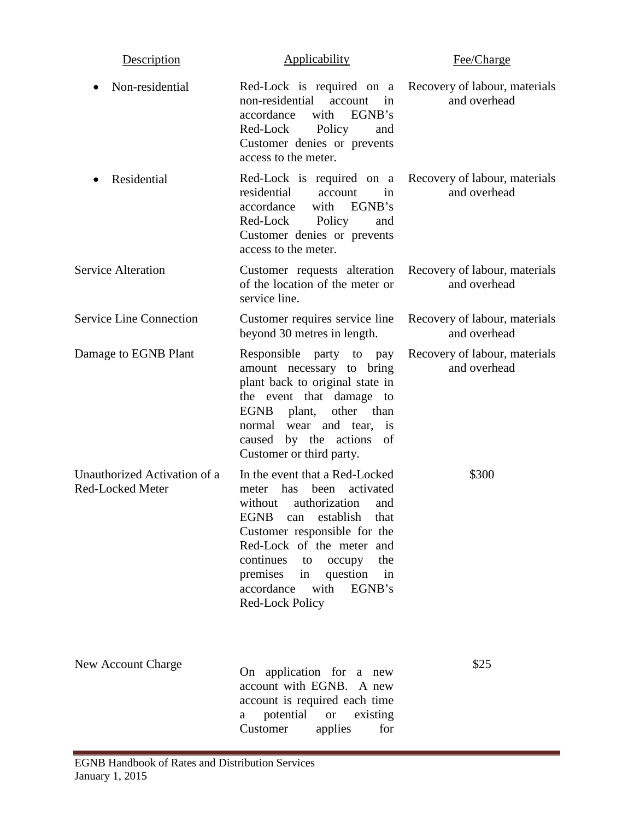| Description                                      | Applicability                                                                                                                                                                                                                                                                                                             | Fee/Charge                                    |
|--------------------------------------------------|---------------------------------------------------------------------------------------------------------------------------------------------------------------------------------------------------------------------------------------------------------------------------------------------------------------------------|-----------------------------------------------|
| Non-residential                                  | Red-Lock is required on a Recovery of labour, materials<br>non-residential<br>account<br>in<br>EGNB's<br>accordance<br>with<br>Red-Lock<br>Policy<br>and<br>Customer denies or prevents<br>access to the meter.                                                                                                           | and overhead                                  |
| Residential                                      | Red-Lock is required on a Recovery of labour, materials<br>residential<br>in<br>account<br>with EGNB's<br>accordance<br>Red-Lock<br>Policy<br>and<br>Customer denies or prevents<br>access to the meter.                                                                                                                  | and overhead                                  |
| <b>Service Alteration</b>                        | Customer requests alteration<br>of the location of the meter or<br>service line.                                                                                                                                                                                                                                          | Recovery of labour, materials<br>and overhead |
| <b>Service Line Connection</b>                   | Customer requires service line<br>beyond 30 metres in length.                                                                                                                                                                                                                                                             | Recovery of labour, materials<br>and overhead |
| Damage to EGNB Plant                             | Responsible party to pay<br>amount necessary to bring<br>plant back to original state in<br>the event that damage to<br>EGNB plant,<br>other than<br>normal wear and tear, is<br>by the actions<br>of<br>caused<br>Customer or third party.                                                                               | Recovery of labour, materials<br>and overhead |
| Unauthorized Activation of a<br>Red-Locked Meter | In the event that a Red-Locked<br>activated<br>has<br>been<br>meter<br>authorization<br>without<br>and<br>EGNB can establish that<br>Customer responsible for the<br>Red-Lock of the meter and<br>continues<br>the<br>to<br>occupy<br>premises<br>question<br>in<br>in<br>accordance<br>with<br>EGNB's<br>Red-Lock Policy | \$300                                         |
| <b>New Account Charge</b>                        | On application for a new<br>account with EGNB. A new<br>account is required each time<br>potential<br><b>or</b><br>existing<br>a<br>Customer<br>applies<br>for                                                                                                                                                            | \$25                                          |